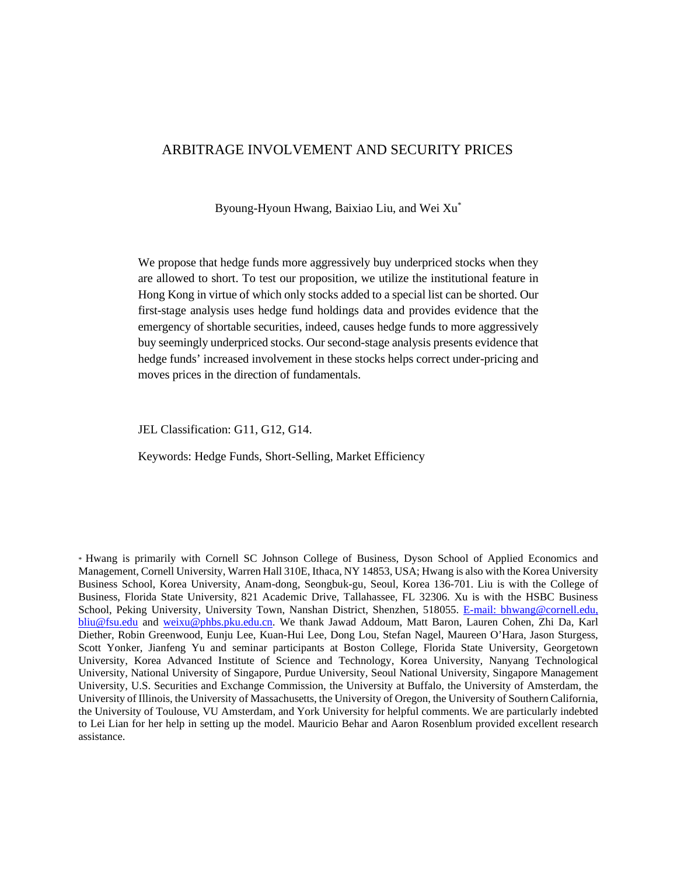# ARBITRAGE INVOLVEMENT AND SECURITY PRICES

Byoung-Hyoun Hwang, Baixiao Liu, and Wei Xu\*

We propose that hedge funds more aggressively buy underpriced stocks when they are allowed to short. To test our proposition, we utilize the institutional feature in Hong Kong in virtue of which only stocks added to a special list can be shorted. Our first-stage analysis uses hedge fund holdings data and provides evidence that the emergency of shortable securities, indeed, causes hedge funds to more aggressively buy seemingly underpriced stocks. Our second-stage analysis presents evidence that hedge funds' increased involvement in these stocks helps correct under-pricing and moves prices in the direction of fundamentals.

JEL Classification: G11, G12, G14.

Keywords: Hedge Funds, Short-Selling, Market Efficiency

\* Hwang is primarily with Cornell SC Johnson College of Business, Dyson School of Applied Economics and Management, Cornell University, Warren Hall 310E, Ithaca, NY 14853, USA; Hwang is also with the Korea University Business School, Korea University, Anam-dong, Seongbuk-gu, Seoul, Korea 136-701. Liu is with the College of [Business, Florida State University, 821 Academic Drive, Tallahassee, FL 32306. Xu is with the HSBC Business](mailto:bhwang@cornell.edu,)  School, Peking University, University Town, Nanshan District, Shenzhen, 518055. [E-mail: bhwang@cornell.edu,](mailto:bhwang@cornell.edu,) [bliu@fsu.edu](mailto:bliu@fsu.edu) and [weixu@phbs.pku.edu.cn.](mailto:weixu@phbs.pku.edu.cn) We thank Jawad Addoum, Matt Baron, Lauren Cohen, Zhi Da, Karl Diether, Robin Greenwood, Eunju Lee, Kuan-Hui Lee, Dong Lou, Stefan Nagel, Maureen O'Hara, Jason Sturgess, Scott Yonker, Jianfeng Yu and seminar participants at Boston College, Florida State University, Georgetown University, Korea Advanced Institute of Science and Technology, Korea University, Nanyang Technological University, National University of Singapore, Purdue University, Seoul National University, Singapore Management University, U.S. Securities and Exchange Commission, the University at Buffalo, the University of Amsterdam, the University of Illinois, the University of Massachusetts, the University of Oregon, the University of Southern California, the University of Toulouse, VU Amsterdam, and York University for helpful comments. We are particularly indebted to Lei Lian for her help in setting up the model. Mauricio Behar and Aaron Rosenblum provided excellent research assistance.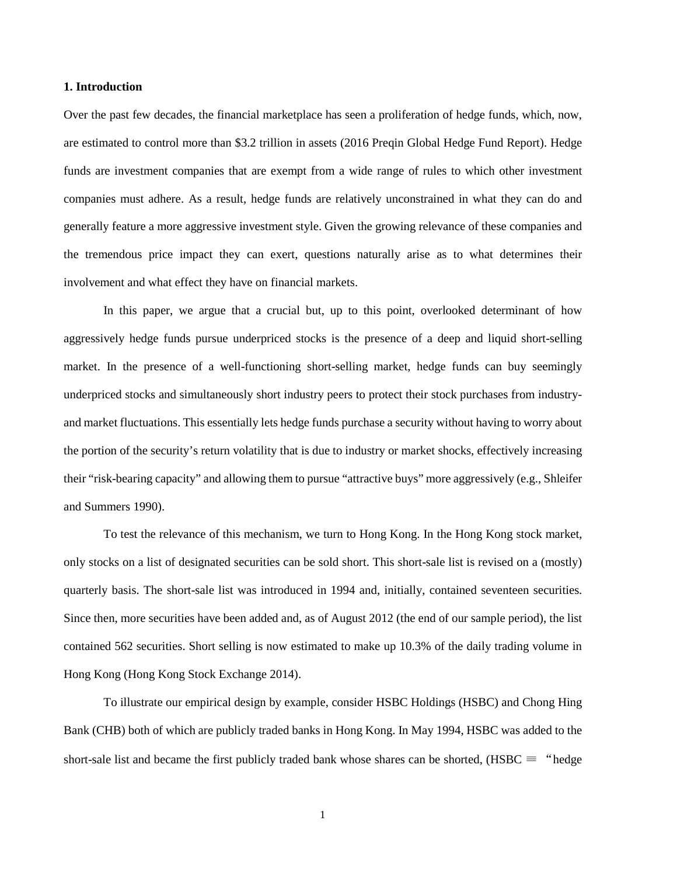## **1. Introduction**

Over the past few decades, the financial marketplace has seen a proliferation of hedge funds, which, now, are estimated to control more than \$3.2 trillion in assets (2016 Preqin Global Hedge Fund Report). Hedge funds are investment companies that are exempt from a wide range of rules to which other investment companies must adhere. As a result, hedge funds are relatively unconstrained in what they can do and generally feature a more aggressive investment style. Given the growing relevance of these companies and the tremendous price impact they can exert, questions naturally arise as to what determines their involvement and what effect they have on financial markets.

In this paper, we argue that a crucial but, up to this point, overlooked determinant of how aggressively hedge funds pursue underpriced stocks is the presence of a deep and liquid short-selling market. In the presence of a well-functioning short-selling market, hedge funds can buy seemingly underpriced stocks and simultaneously short industry peers to protect their stock purchases from industryand market fluctuations. This essentially lets hedge funds purchase a security without having to worry about the portion of the security's return volatility that is due to industry or market shocks, effectively increasing their "risk-bearing capacity" and allowing them to pursue "attractive buys" more aggressively (e.g., Shleifer and Summers 1990).

To test the relevance of this mechanism, we turn to Hong Kong. In the Hong Kong stock market, only stocks on a list of designated securities can be sold short. This short-sale list is revised on a (mostly) quarterly basis. The short-sale list was introduced in 1994 and, initially, contained seventeen securities. Since then, more securities have been added and, as of August 2012 (the end of our sample period), the list contained 562 securities. Short selling is now estimated to make up 10.3% of the daily trading volume in Hong Kong (Hong Kong Stock Exchange 2014).

To illustrate our empirical design by example, consider HSBC Holdings (HSBC) and Chong Hing Bank (CHB) both of which are publicly traded banks in Hong Kong. In May 1994, HSBC was added to the short-sale list and became the first publicly traded bank whose shares can be shorted, (HSBC  $\equiv$  "hedge

1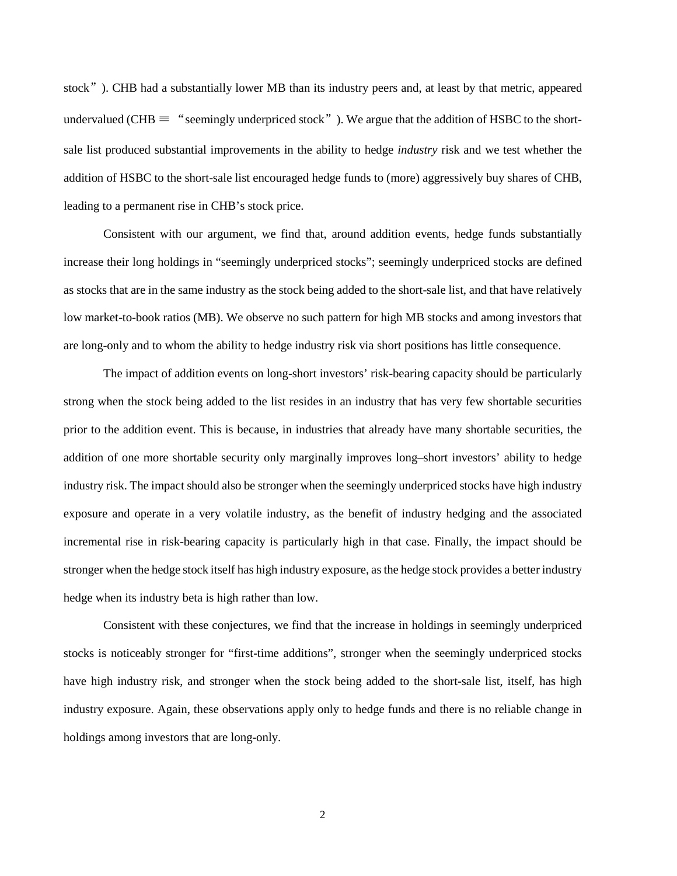stock"). CHB had a substantially lower MB than its industry peers and, at least by that metric, appeared undervalued (CHB  $\equiv$  "seemingly underpriced stock"). We argue that the addition of HSBC to the shortsale list produced substantial improvements in the ability to hedge *industry* risk and we test whether the addition of HSBC to the short-sale list encouraged hedge funds to (more) aggressively buy shares of CHB, leading to a permanent rise in CHB's stock price.

Consistent with our argument, we find that, around addition events, hedge funds substantially increase their long holdings in "seemingly underpriced stocks"; seemingly underpriced stocks are defined as stocks that are in the same industry as the stock being added to the short-sale list, and that have relatively low market-to-book ratios (MB). We observe no such pattern for high MB stocks and among investors that are long-only and to whom the ability to hedge industry risk via short positions has little consequence.

The impact of addition events on long-short investors' risk-bearing capacity should be particularly strong when the stock being added to the list resides in an industry that has very few shortable securities prior to the addition event. This is because, in industries that already have many shortable securities, the addition of one more shortable security only marginally improves long–short investors' ability to hedge industry risk. The impact should also be stronger when the seemingly underpriced stocks have high industry exposure and operate in a very volatile industry, as the benefit of industry hedging and the associated incremental rise in risk-bearing capacity is particularly high in that case. Finally, the impact should be stronger when the hedge stock itself has high industry exposure, as the hedge stock provides a better industry hedge when its industry beta is high rather than low.

Consistent with these conjectures, we find that the increase in holdings in seemingly underpriced stocks is noticeably stronger for "first-time additions", stronger when the seemingly underpriced stocks have high industry risk, and stronger when the stock being added to the short-sale list, itself, has high industry exposure. Again, these observations apply only to hedge funds and there is no reliable change in holdings among investors that are long-only.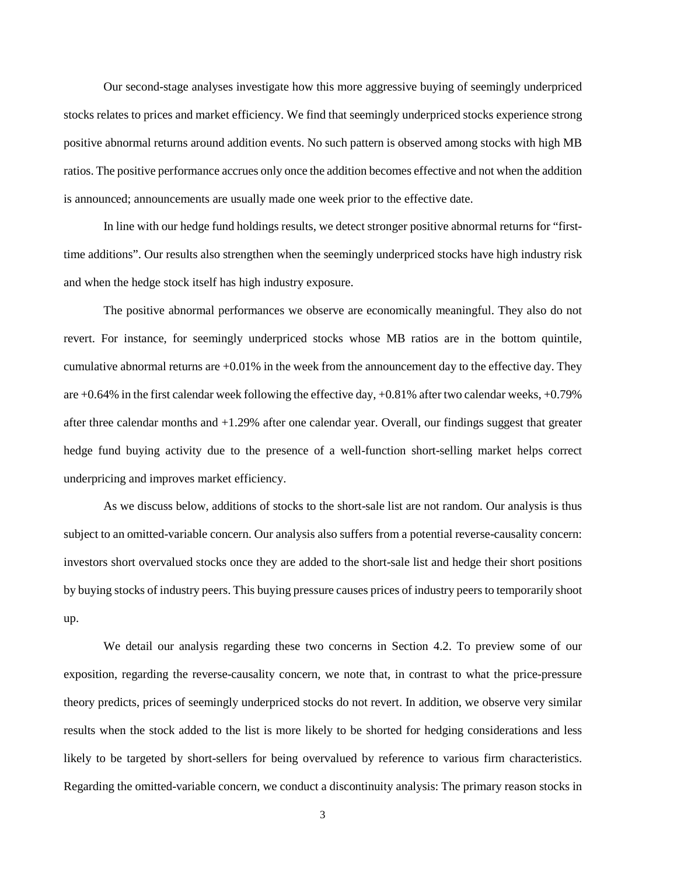Our second-stage analyses investigate how this more aggressive buying of seemingly underpriced stocks relates to prices and market efficiency. We find that seemingly underpriced stocks experience strong positive abnormal returns around addition events. No such pattern is observed among stocks with high MB ratios. The positive performance accrues only once the addition becomes effective and not when the addition is announced; announcements are usually made one week prior to the effective date.

In line with our hedge fund holdings results, we detect stronger positive abnormal returns for "firsttime additions". Our results also strengthen when the seemingly underpriced stocks have high industry risk and when the hedge stock itself has high industry exposure.

The positive abnormal performances we observe are economically meaningful. They also do not revert. For instance, for seemingly underpriced stocks whose MB ratios are in the bottom quintile, cumulative abnormal returns are  $+0.01\%$  in the week from the announcement day to the effective day. They are +0.64% in the first calendar week following the effective day, +0.81% after two calendar weeks, +0.79% after three calendar months and +1.29% after one calendar year. Overall, our findings suggest that greater hedge fund buying activity due to the presence of a well-function short-selling market helps correct underpricing and improves market efficiency.

As we discuss below, additions of stocks to the short-sale list are not random. Our analysis is thus subject to an omitted-variable concern. Our analysis also suffers from a potential reverse-causality concern: investors short overvalued stocks once they are added to the short-sale list and hedge their short positions by buying stocks of industry peers. This buying pressure causes prices of industry peers to temporarily shoot up.

We detail our analysis regarding these two concerns in Section 4.2. To preview some of our exposition, regarding the reverse-causality concern, we note that, in contrast to what the price-pressure theory predicts, prices of seemingly underpriced stocks do not revert. In addition, we observe very similar results when the stock added to the list is more likely to be shorted for hedging considerations and less likely to be targeted by short-sellers for being overvalued by reference to various firm characteristics. Regarding the omitted-variable concern, we conduct a discontinuity analysis: The primary reason stocks in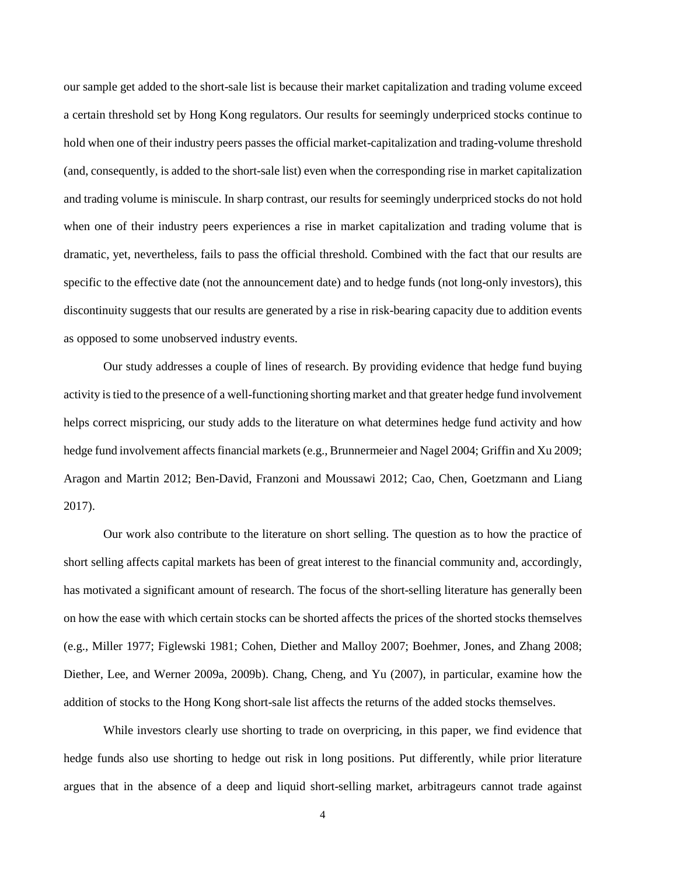our sample get added to the short-sale list is because their market capitalization and trading volume exceed a certain threshold set by Hong Kong regulators. Our results for seemingly underpriced stocks continue to hold when one of their industry peers passes the official market-capitalization and trading-volume threshold (and, consequently, is added to the short-sale list) even when the corresponding rise in market capitalization and trading volume is miniscule. In sharp contrast, our results for seemingly underpriced stocks do not hold when one of their industry peers experiences a rise in market capitalization and trading volume that is dramatic, yet, nevertheless, fails to pass the official threshold. Combined with the fact that our results are specific to the effective date (not the announcement date) and to hedge funds (not long-only investors), this discontinuity suggests that our results are generated by a rise in risk-bearing capacity due to addition events as opposed to some unobserved industry events.

Our study addresses a couple of lines of research. By providing evidence that hedge fund buying activity is tied to the presence of a well-functioning shorting market and that greater hedge fund involvement helps correct mispricing, our study adds to the literature on what determines hedge fund activity and how hedge fund involvement affects financial markets (e.g., Brunnermeier and Nagel 2004; Griffin and Xu 2009; Aragon and Martin 2012; Ben-David, Franzoni and Moussawi 2012; Cao, Chen, Goetzmann and Liang 2017).

Our work also contribute to the literature on short selling. The question as to how the practice of short selling affects capital markets has been of great interest to the financial community and, accordingly, has motivated a significant amount of research. The focus of the short-selling literature has generally been on how the ease with which certain stocks can be shorted affects the prices of the shorted stocks themselves (e.g., Miller 1977; Figlewski 1981; Cohen, Diether and Malloy 2007; Boehmer, Jones, and Zhang 2008; Diether, Lee, and Werner 2009a, 2009b). Chang, Cheng, and Yu (2007), in particular, examine how the addition of stocks to the Hong Kong short-sale list affects the returns of the added stocks themselves.

While investors clearly use shorting to trade on overpricing, in this paper, we find evidence that hedge funds also use shorting to hedge out risk in long positions. Put differently, while prior literature argues that in the absence of a deep and liquid short-selling market, arbitrageurs cannot trade against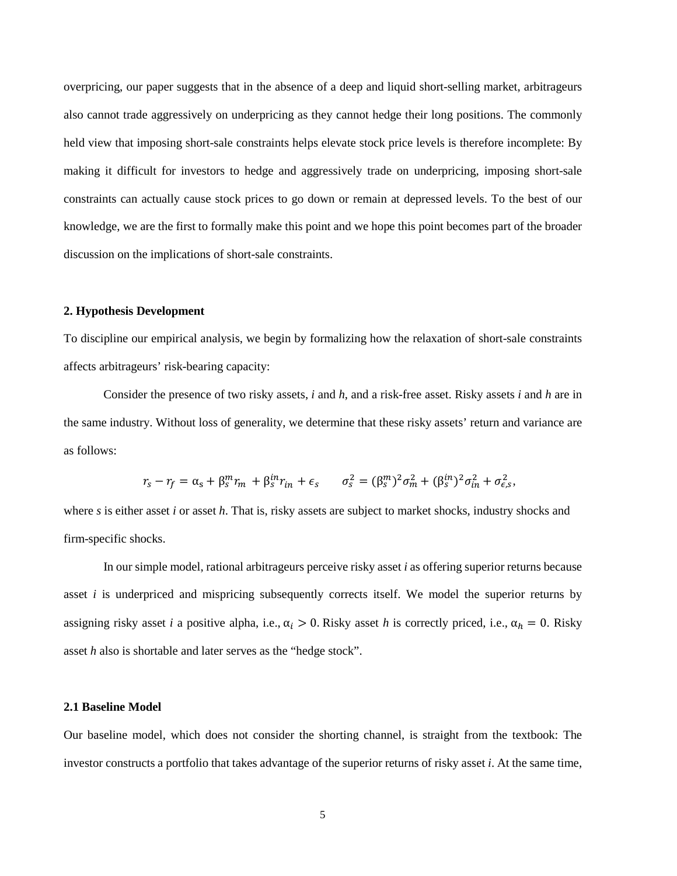overpricing, our paper suggests that in the absence of a deep and liquid short-selling market, arbitrageurs also cannot trade aggressively on underpricing as they cannot hedge their long positions. The commonly held view that imposing short-sale constraints helps elevate stock price levels is therefore incomplete: By making it difficult for investors to hedge and aggressively trade on underpricing, imposing short-sale constraints can actually cause stock prices to go down or remain at depressed levels. To the best of our knowledge, we are the first to formally make this point and we hope this point becomes part of the broader discussion on the implications of short-sale constraints.

## **2. Hypothesis Development**

To discipline our empirical analysis, we begin by formalizing how the relaxation of short-sale constraints affects arbitrageurs' risk-bearing capacity:

Consider the presence of two risky assets, *i* and *h*, and a risk-free asset. Risky assets *i* and *h* are in the same industry. Without loss of generality, we determine that these risky assets' return and variance are as follows:

$$
r_s - r_f = \alpha_s + \beta_s^m r_m + \beta_s^{in} r_{in} + \epsilon_s \qquad \sigma_s^2 = (\beta_s^m)^2 \sigma_m^2 + (\beta_s^{in})^2 \sigma_{in}^2 + \sigma_{\epsilon,s}^2,
$$

where *s* is either asset *i* or asset *h*. That is, risky assets are subject to market shocks, industry shocks and firm-specific shocks.

In our simple model, rational arbitrageurs perceive risky asset *i* as offering superior returns because asset *i* is underpriced and mispricing subsequently corrects itself. We model the superior returns by assigning risky asset *i* a positive alpha, i.e.,  $\alpha_i > 0$ . Risky asset *h* is correctly priced, i.e.,  $\alpha_h = 0$ . Risky asset *h* also is shortable and later serves as the "hedge stock".

## **2.1 Baseline Model**

Our baseline model, which does not consider the shorting channel, is straight from the textbook: The investor constructs a portfolio that takes advantage of the superior returns of risky asset *i*. At the same time,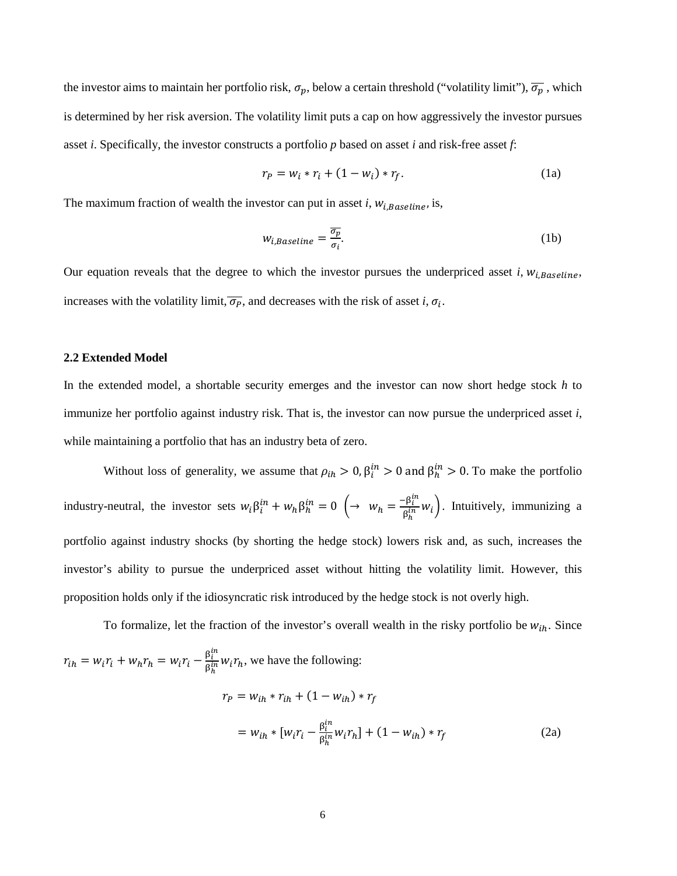the investor aims to maintain her portfolio risk,  $\sigma_p$ , below a certain threshold ("volatility limit"),  $\overline{\sigma_p}$ , which is determined by her risk aversion. The volatility limit puts a cap on how aggressively the investor pursues asset *i*. Specifically, the investor constructs a portfolio *p* based on asset *i* and risk-free asset *f*:

$$
r_P = w_i * r_i + (1 - w_i) * r_f.
$$
 (1a)

The maximum fraction of wealth the investor can put in asset  $i$ ,  $w_{i, Baseline}$ , is,

$$
W_{i, Baseline} = \frac{\overline{\sigma_p}}{\sigma_i}.
$$
 (1b)

Our equation reveals that the degree to which the investor pursues the underpriced asset  $i$ ,  $w_{i, Baseline}$ , increases with the volatility limit,  $\overline{\sigma_P}$ , and decreases with the risk of asset *i*,  $\sigma_i$ .

## **2.2 Extended Model**

In the extended model, a shortable security emerges and the investor can now short hedge stock *h* to immunize her portfolio against industry risk. That is, the investor can now pursue the underpriced asset *i*, while maintaining a portfolio that has an industry beta of zero.

Without loss of generality, we assume that  $\rho_{ih} > 0$ ,  $\beta_i^n > 0$  and  $\beta_i^n > 0$ . To make the portfolio industry-neutral, the investor sets  $w_i \beta_i^{in} + w_h \beta_h^{in} = 0$   $\left(\rightarrow w_h = \frac{-\beta_i^{in}}{\beta_h^{in}}\right)$  $\left( \frac{\rho_i}{\beta_h^{in}} w_i \right)$ . Intuitively, immunizing a portfolio against industry shocks (by shorting the hedge stock) lowers risk and, as such, increases the investor's ability to pursue the underpriced asset without hitting the volatility limit. However, this proposition holds only if the idiosyncratic risk introduced by the hedge stock is not overly high.

To formalize, let the fraction of the investor's overall wealth in the risky portfolio be  $w_{ih}$ . Since

$$
r_{ih} = w_i r_i + w_h r_h = w_i r_i - \frac{\beta_i^{in}}{\beta_h^{in}} w_i r_h
$$
, we have the following:  

$$
r_h = w_{ih} * r_{ih} + (1 - w_{ih}) * r_e
$$

$$
= w_{ih} * [w_i r_i - \frac{\beta_i^{in}}{\beta_h^{in}} w_i r_h] + (1 - w_{ih}) * r_f
$$
 (2a)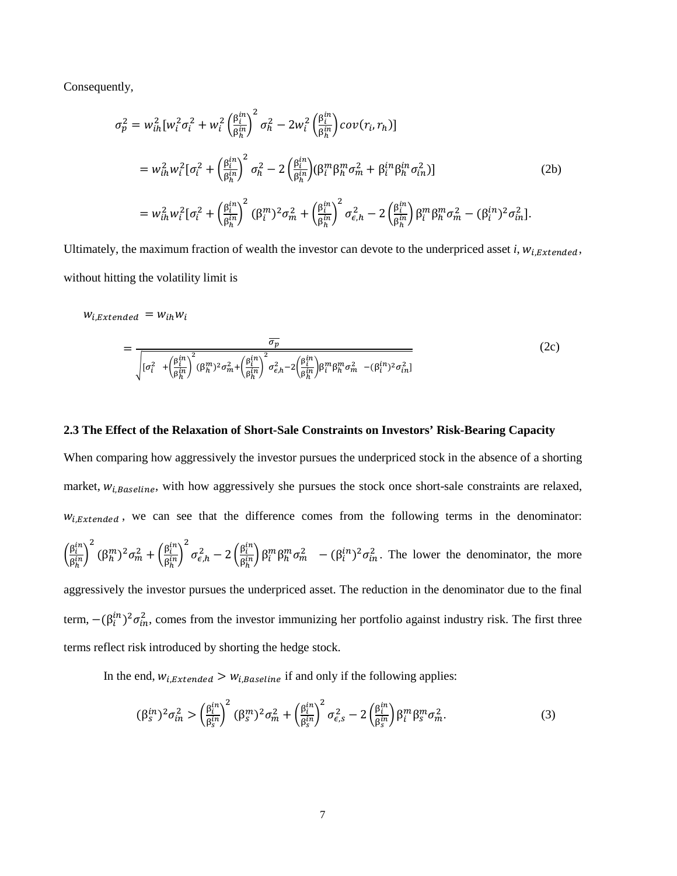Consequently,

$$
\sigma_p^2 = w_{ih}^2 [w_i^2 \sigma_i^2 + w_i^2 \left(\frac{\beta_i^{in}}{\beta_h^{in}}\right)^2 \sigma_h^2 - 2w_i^2 \left(\frac{\beta_i^{in}}{\beta_h^{in}}\right) cov(r_i, r_h)]
$$
  
\n
$$
= w_{ih}^2 w_i^2 [\sigma_i^2 + \left(\frac{\beta_i^{in}}{\beta_h^{in}}\right)^2 \sigma_h^2 - 2\left(\frac{\beta_i^{in}}{\beta_h^{in}}\right) (\beta_i^m \beta_h^m \sigma_m^2 + \beta_i^{in} \beta_h^{in} \sigma_{in}^2)]
$$
  
\n
$$
= w_{ih}^2 w_i^2 [\sigma_i^2 + \left(\frac{\beta_i^{in}}{\beta_h^{in}}\right)^2 (\beta_i^m)^2 \sigma_m^2 + \left(\frac{\beta_i^{in}}{\beta_h^{in}}\right)^2 \sigma_{\epsilon,h}^2 - 2\left(\frac{\beta_i^{in}}{\beta_h^{in}}\right) \beta_i^m \beta_h^m \sigma_m^2 - (\beta_i^{in})^2 \sigma_{in}^2].
$$
 (2b)

Ultimately, the maximum fraction of wealth the investor can devote to the underpriced asset  $i$ ,  $w_{i,Extended}$ , without hitting the volatility limit is

$$
W_{i,Extended} = W_{ih}W_i
$$

$$
= \frac{\overline{\sigma_p}}{\sqrt{[\sigma_i^2 + (\frac{\beta_i^{in}}{\beta_h^{in}})^2 (\beta_h^m)^2 \sigma_m^2 + (\frac{\beta_i^{in}}{\beta_h^{in}})^2 \sigma_{\epsilon,h}^2 - 2(\frac{\beta_i^{in}}{\beta_h^{in}})^2 \beta_h^m \sigma_m^2 - (\beta_i^{in})^2 \sigma_{in}^2]}}
$$
(2c)

## **2.3 The Effect of the Relaxation of Short-Sale Constraints on Investors' Risk-Bearing Capacity**

When comparing how aggressively the investor pursues the underpriced stock in the absence of a shorting market,  $w_{i, Baseline}$ , with how aggressively she pursues the stock once short-sale constraints are relaxed,  $W_{i, Extended}$ , we can see that the difference comes from the following terms in the denominator:  $\left(\frac{\beta_i^{in}}{\beta_i^{in}}\right)$  $\frac{\mu}{\beta_h^{in}}$ 2  $(\beta_n^m)^2 \sigma_m^2 + \left(\frac{\beta_i^{in}}{\beta_i^{in}}\right)$  $\frac{\mu}{\beta_h^{in}}$ 2  $\sigma_{\epsilon,h}^2 - 2\left(\frac{\beta_i^{in}}{\beta_i^{in}}\right)$  $\frac{\rho_i}{\beta_h^{in}} \beta_h^m \sigma_m^2 - (\beta_i^m)^2 \sigma_{in}^2$ . The lower the denominator, the more aggressively the investor pursues the underpriced asset. The reduction in the denominator due to the final term,  $-(\beta_i^{in})^2 \sigma_{in}^2$ , comes from the investor immunizing her portfolio against industry risk. The first three

In the end,  $w_{i, Extended} > w_{i, Baseline}$  if and only if the following applies:

terms reflect risk introduced by shorting the hedge stock.

$$
(\beta_s^{in})^2 \sigma_{in}^2 > \left(\frac{\beta_i^{in}}{\beta_s^{in}}\right)^2 (\beta_s^m)^2 \sigma_m^2 + \left(\frac{\beta_i^{in}}{\beta_s^{in}}\right)^2 \sigma_{\epsilon,s}^2 - 2\left(\frac{\beta_i^{in}}{\beta_s^{in}}\right) \beta_i^m \beta_s^m \sigma_m^2. \tag{3}
$$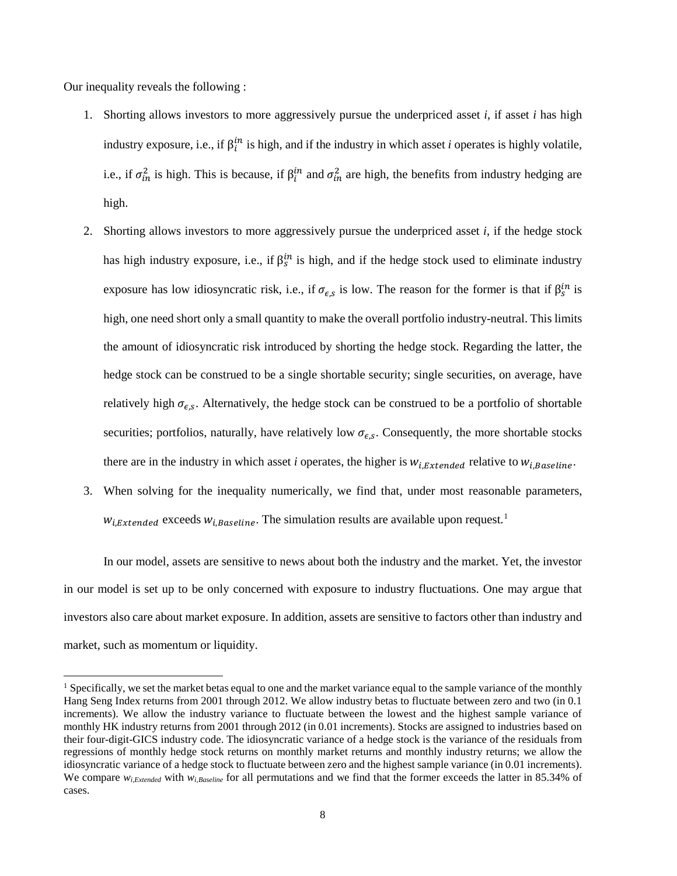Our inequality reveals the following :

 $\overline{a}$ 

- 1. Shorting allows investors to more aggressively pursue the underpriced asset *i*, if asset *i* has high industry exposure, i.e., if  $\beta_i^n$  is high, and if the industry in which asset *i* operates is highly volatile, i.e., if  $\sigma_{in}^2$  is high. This is because, if  $\beta_i^{\{in\}}$  and  $\sigma_{in}^2$  are high, the benefits from industry hedging are high.
- 2. Shorting allows investors to more aggressively pursue the underpriced asset *i*, if the hedge stock has high industry exposure, i.e., if  $\beta_s^m$  is high, and if the hedge stock used to eliminate industry exposure has low idiosyncratic risk, i.e., if  $\sigma_{\epsilon,s}$  is low. The reason for the former is that if  $\beta_s^{in}$  is high, one need short only a small quantity to make the overall portfolio industry-neutral. This limits the amount of idiosyncratic risk introduced by shorting the hedge stock. Regarding the latter, the hedge stock can be construed to be a single shortable security; single securities, on average, have relatively high  $\sigma_{\epsilon,s}$ . Alternatively, the hedge stock can be construed to be a portfolio of shortable securities; portfolios, naturally, have relatively low  $\sigma_{\epsilon,s}$ . Consequently, the more shortable stocks there are in the industry in which asset *i* operates, the higher is  $w_{i,Extended}$  relative to  $w_{i,Basedine}$ .
- 3. When solving for the inequality numerically, we find that, under most reasonable parameters,  $w_{i,Extended}$  exceeds  $w_{i,Basedine}$ . The simulation results are available upon request.<sup>1</sup>

In our model, assets are sensitive to news about both the industry and the market. Yet, the investor in our model is set up to be only concerned with exposure to industry fluctuations. One may argue that investors also care about market exposure. In addition, assets are sensitive to factors other than industry and market, such as momentum or liquidity.

 $<sup>1</sup>$  Specifically, we set the market betas equal to one and the market variance equal to the sample variance of the monthly</sup> Hang Seng Index returns from 2001 through 2012. We allow industry betas to fluctuate between zero and two (in 0.1 increments). We allow the industry variance to fluctuate between the lowest and the highest sample variance of monthly HK industry returns from 2001 through 2012 (in 0.01 increments). Stocks are assigned to industries based on their four-digit-GICS industry code. The idiosyncratic variance of a hedge stock is the variance of the residuals from regressions of monthly hedge stock returns on monthly market returns and monthly industry returns; we allow the idiosyncratic variance of a hedge stock to fluctuate between zero and the highest sample variance (in 0.01 increments). We compare  $w_{i,Extended}$  with  $w_{i,Basedline}$  for all permutations and we find that the former exceeds the latter in 85.34% of cases.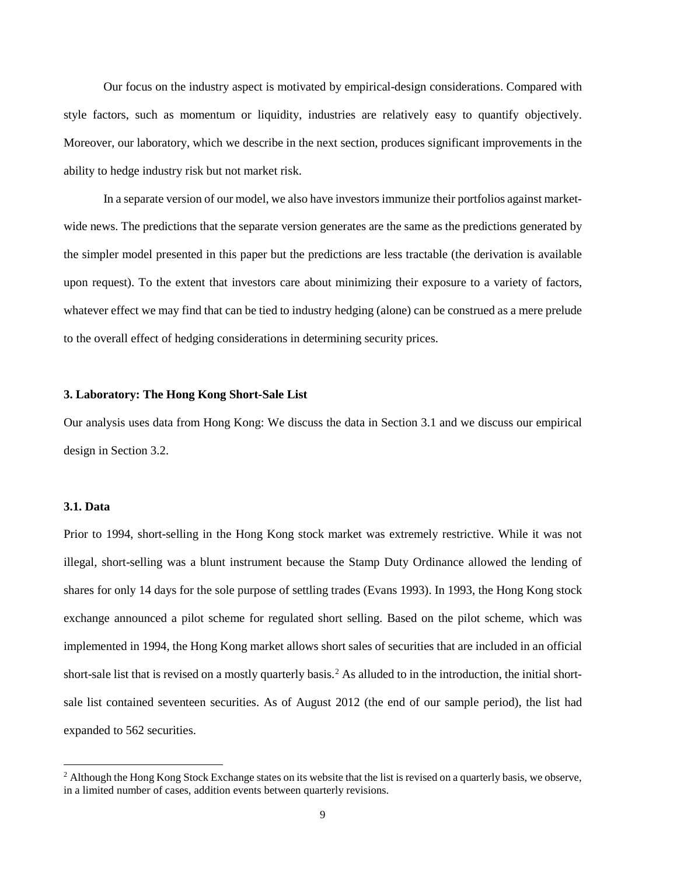Our focus on the industry aspect is motivated by empirical-design considerations. Compared with style factors, such as momentum or liquidity, industries are relatively easy to quantify objectively. Moreover, our laboratory, which we describe in the next section, produces significant improvements in the ability to hedge industry risk but not market risk.

In a separate version of our model, we also have investors immunize their portfolios against marketwide news. The predictions that the separate version generates are the same as the predictions generated by the simpler model presented in this paper but the predictions are less tractable (the derivation is available upon request). To the extent that investors care about minimizing their exposure to a variety of factors, whatever effect we may find that can be tied to industry hedging (alone) can be construed as a mere prelude to the overall effect of hedging considerations in determining security prices.

# **3. Laboratory: The Hong Kong Short-Sale List**

Our analysis uses data from Hong Kong: We discuss the data in Section 3.1 and we discuss our empirical design in Section 3.2.

# **3.1. Data**

 $\overline{a}$ 

Prior to 1994, short-selling in the Hong Kong stock market was extremely restrictive. While it was not illegal, short-selling was a blunt instrument because the Stamp Duty Ordinance allowed the lending of shares for only 14 days for the sole purpose of settling trades (Evans 1993). In 1993, the Hong Kong stock exchange announced a pilot scheme for regulated short selling. Based on the pilot scheme, which was implemented in 1994, the Hong Kong market allows short sales of securities that are included in an official short-sale list that is revised on a mostly quarterly basis.2 As alluded to in the introduction, the initial shortsale list contained seventeen securities. As of August 2012 (the end of our sample period), the list had expanded to 562 securities.

 $<sup>2</sup>$  Although the Hong Kong Stock Exchange states on its website that the list is revised on a quarterly basis, we observe,</sup> in a limited number of cases, addition events between quarterly revisions.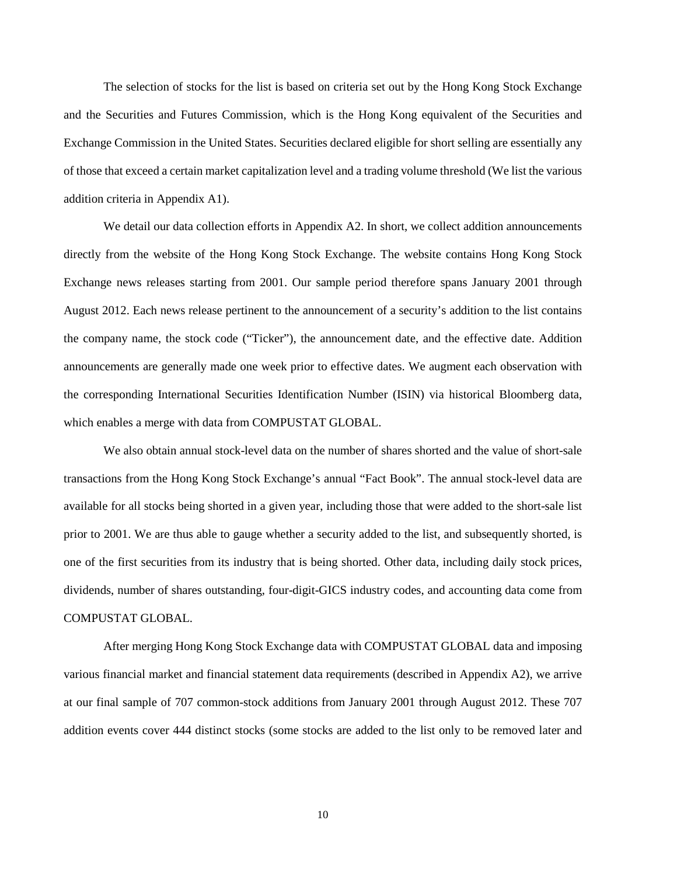The selection of stocks for the list is based on criteria set out by the Hong Kong Stock Exchange and the Securities and Futures Commission, which is the Hong Kong equivalent of the Securities and Exchange Commission in the United States. Securities declared eligible for short selling are essentially any of those that exceed a certain market capitalization level and a trading volume threshold (We list the various addition criteria in Appendix A1).

We detail our data collection efforts in Appendix A2. In short, we collect addition announcements directly from the website of the Hong Kong Stock Exchange. The website contains Hong Kong Stock Exchange news releases starting from 2001. Our sample period therefore spans January 2001 through August 2012. Each news release pertinent to the announcement of a security's addition to the list contains the company name, the stock code ("Ticker"), the announcement date, and the effective date. Addition announcements are generally made one week prior to effective dates. We augment each observation with the corresponding International Securities Identification Number (ISIN) via historical Bloomberg data, which enables a merge with data from COMPUSTAT GLOBAL.

We also obtain annual stock-level data on the number of shares shorted and the value of short-sale transactions from the Hong Kong Stock Exchange's annual "Fact Book". The annual stock-level data are available for all stocks being shorted in a given year, including those that were added to the short-sale list prior to 2001. We are thus able to gauge whether a security added to the list, and subsequently shorted, is one of the first securities from its industry that is being shorted. Other data, including daily stock prices, dividends, number of shares outstanding, four-digit-GICS industry codes, and accounting data come from COMPUSTAT GLOBAL.

After merging Hong Kong Stock Exchange data with COMPUSTAT GLOBAL data and imposing various financial market and financial statement data requirements (described in Appendix A2), we arrive at our final sample of 707 common-stock additions from January 2001 through August 2012. These 707 addition events cover 444 distinct stocks (some stocks are added to the list only to be removed later and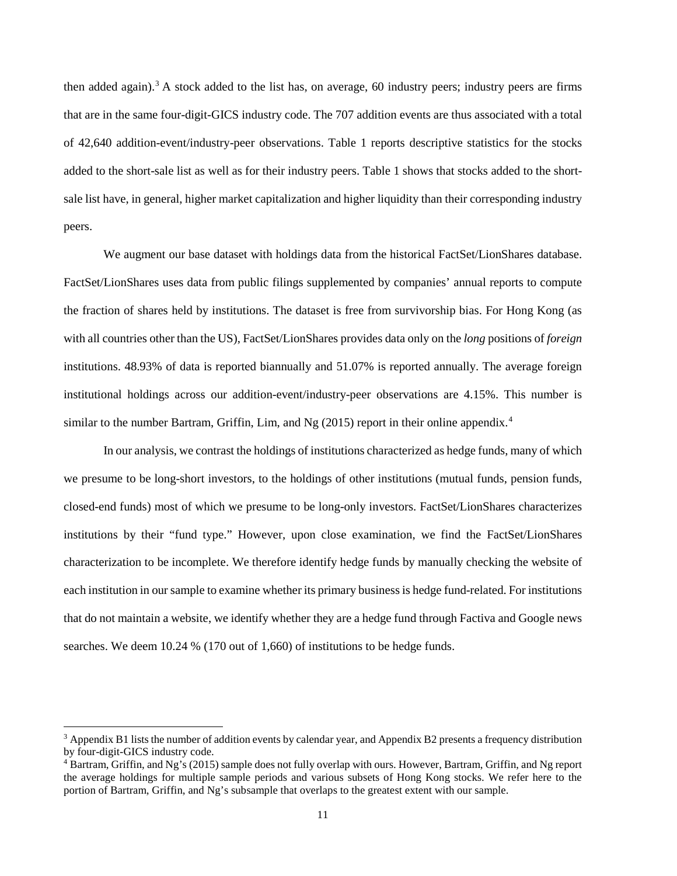then added again).<sup>3</sup> A stock added to the list has, on average, 60 industry peers; industry peers are firms that are in the same four-digit-GICS industry code. The 707 addition events are thus associated with a total of 42,640 addition-event/industry-peer observations. Table 1 reports descriptive statistics for the stocks added to the short-sale list as well as for their industry peers. Table 1 shows that stocks added to the shortsale list have, in general, higher market capitalization and higher liquidity than their corresponding industry peers.

We augment our base dataset with holdings data from the historical FactSet/LionShares database. FactSet/LionShares uses data from public filings supplemented by companies' annual reports to compute the fraction of shares held by institutions. The dataset is free from survivorship bias. For Hong Kong (as with all countries other than the US), FactSet/LionShares provides data only on the *long* positions of *foreign* institutions. 48.93% of data is reported biannually and 51.07% is reported annually. The average foreign institutional holdings across our addition-event/industry-peer observations are 4.15%. This number is similar to the number Bartram, Griffin, Lim, and Ng (2015) report in their online appendix.<sup>4</sup>

In our analysis, we contrast the holdings of institutions characterized as hedge funds, many of which we presume to be long-short investors, to the holdings of other institutions (mutual funds, pension funds, closed-end funds) most of which we presume to be long-only investors. FactSet/LionShares characterizes institutions by their "fund type." However, upon close examination, we find the FactSet/LionShares characterization to be incomplete. We therefore identify hedge funds by manually checking the website of each institution in our sample to examine whether its primary business is hedge fund-related. For institutions that do not maintain a website, we identify whether they are a hedge fund through Factiva and Google news searches. We deem 10.24 % (170 out of 1,660) of institutions to be hedge funds.

 $\overline{a}$ 

<sup>3</sup> Appendix B1 lists the number of addition events by calendar year, and Appendix B2 presents a frequency distribution by four-digit-GICS industry code.

<sup>&</sup>lt;sup>4</sup> Bartram, Griffin, and Ng's (2015) sample does not fully overlap with ours. However, Bartram, Griffin, and Ng report the average holdings for multiple sample periods and various subsets of Hong Kong stocks. We refer here to the portion of Bartram, Griffin, and Ng's subsample that overlaps to the greatest extent with our sample.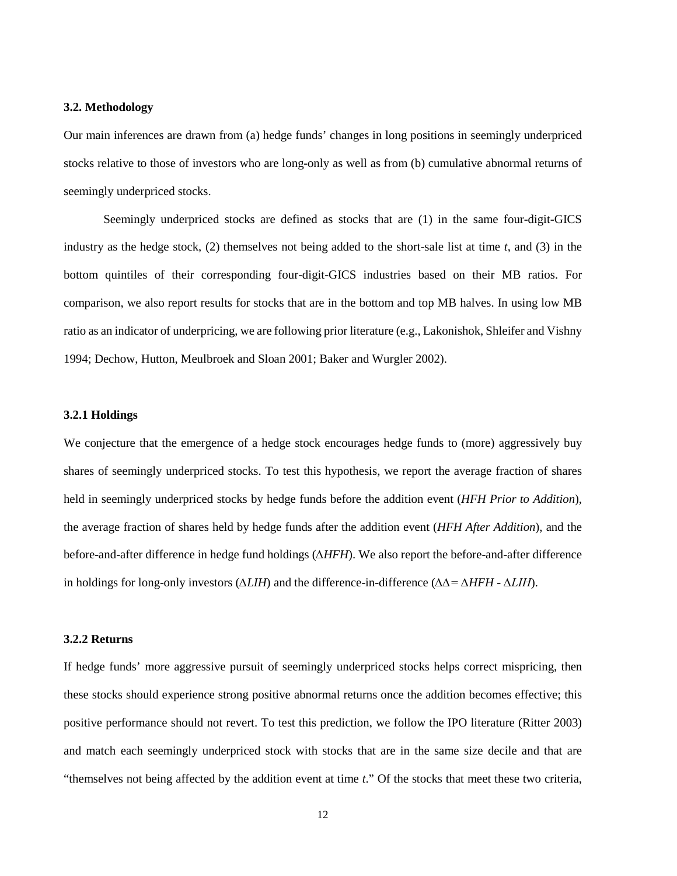#### **3.2. Methodology**

Our main inferences are drawn from (a) hedge funds' changes in long positions in seemingly underpriced stocks relative to those of investors who are long-only as well as from (b) cumulative abnormal returns of seemingly underpriced stocks.

Seemingly underpriced stocks are defined as stocks that are (1) in the same four-digit-GICS industry as the hedge stock, (2) themselves not being added to the short-sale list at time *t*, and (3) in the bottom quintiles of their corresponding four-digit-GICS industries based on their MB ratios. For comparison, we also report results for stocks that are in the bottom and top MB halves. In using low MB ratio as an indicator of underpricing, we are following prior literature (e.g., Lakonishok, Shleifer and Vishny 1994; Dechow, Hutton, Meulbroek and Sloan 2001; Baker and Wurgler 2002).

## **3.2.1 Holdings**

We conjecture that the emergence of a hedge stock encourages hedge funds to (more) aggressively buy shares of seemingly underpriced stocks. To test this hypothesis, we report the average fraction of shares held in seemingly underpriced stocks by hedge funds before the addition event (*HFH Prior to Addition*), the average fraction of shares held by hedge funds after the addition event (*HFH After Addition*), and the before-and-after difference in hedge fund holdings (*∆HFH*). We also report the before-and-after difference in holdings for long-only investors (*∆LIH*) and the difference-in-difference (*∆∆= ∆HFH - ∆LIH*).

## **3.2.2 Returns**

If hedge funds' more aggressive pursuit of seemingly underpriced stocks helps correct mispricing, then these stocks should experience strong positive abnormal returns once the addition becomes effective; this positive performance should not revert. To test this prediction, we follow the IPO literature (Ritter 2003) and match each seemingly underpriced stock with stocks that are in the same size decile and that are "themselves not being affected by the addition event at time *t*." Of the stocks that meet these two criteria,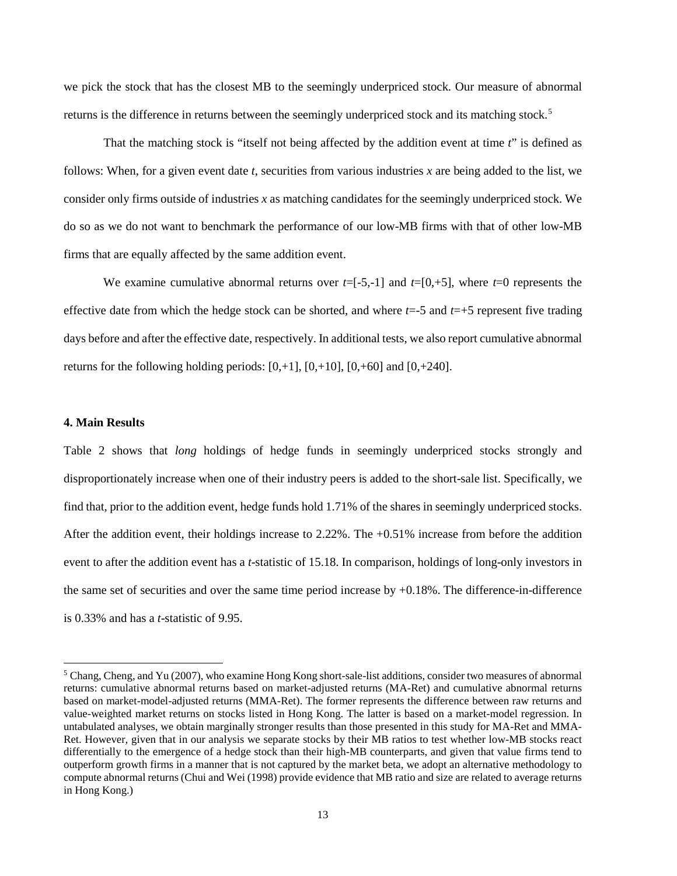we pick the stock that has the closest MB to the seemingly underpriced stock. Our measure of abnormal returns is the difference in returns between the seemingly underpriced stock and its matching stock. 5

That the matching stock is "itself not being affected by the addition event at time *t*" is defined as follows: When, for a given event date *t*, securities from various industries *x* are being added to the list, we consider only firms outside of industries *x* as matching candidates for the seemingly underpriced stock. We do so as we do not want to benchmark the performance of our low-MB firms with that of other low-MB firms that are equally affected by the same addition event.

We examine cumulative abnormal returns over  $t=[-5,-1]$  and  $t=[0,+5]$ , where  $t=0$  represents the effective date from which the hedge stock can be shorted, and where *t*=-5 and *t*=+5 represent five trading days before and after the effective date, respectively. In additional tests, we also report cumulative abnormal returns for the following holding periods:  $[0, +1]$ ,  $[0, +10]$ ,  $[0, +60]$  and  $[0, +240]$ .

## **4. Main Results**

 $\overline{a}$ 

Table 2 shows that *long* holdings of hedge funds in seemingly underpriced stocks strongly and disproportionately increase when one of their industry peers is added to the short-sale list. Specifically, we find that, prior to the addition event, hedge funds hold 1.71% of the shares in seemingly underpriced stocks. After the addition event, their holdings increase to 2.22%. The +0.51% increase from before the addition event to after the addition event has a *t*-statistic of 15.18. In comparison, holdings of long-only investors in the same set of securities and over the same time period increase by +0.18%. The difference-in-difference is 0.33% and has a *t*-statistic of 9.95.

<sup>5</sup> Chang, Cheng, and Yu (2007), who examine Hong Kong short-sale-list additions, consider two measures of abnormal returns: cumulative abnormal returns based on market-adjusted returns (MA-Ret) and cumulative abnormal returns based on market-model-adjusted returns (MMA-Ret). The former represents the difference between raw returns and value-weighted market returns on stocks listed in Hong Kong. The latter is based on a market-model regression. In untabulated analyses, we obtain marginally stronger results than those presented in this study for MA-Ret and MMA-Ret. However, given that in our analysis we separate stocks by their MB ratios to test whether low-MB stocks react differentially to the emergence of a hedge stock than their high-MB counterparts, and given that value firms tend to outperform growth firms in a manner that is not captured by the market beta, we adopt an alternative methodology to compute abnormal returns (Chui and Wei (1998) provide evidence that MB ratio and size are related to average returns in Hong Kong.)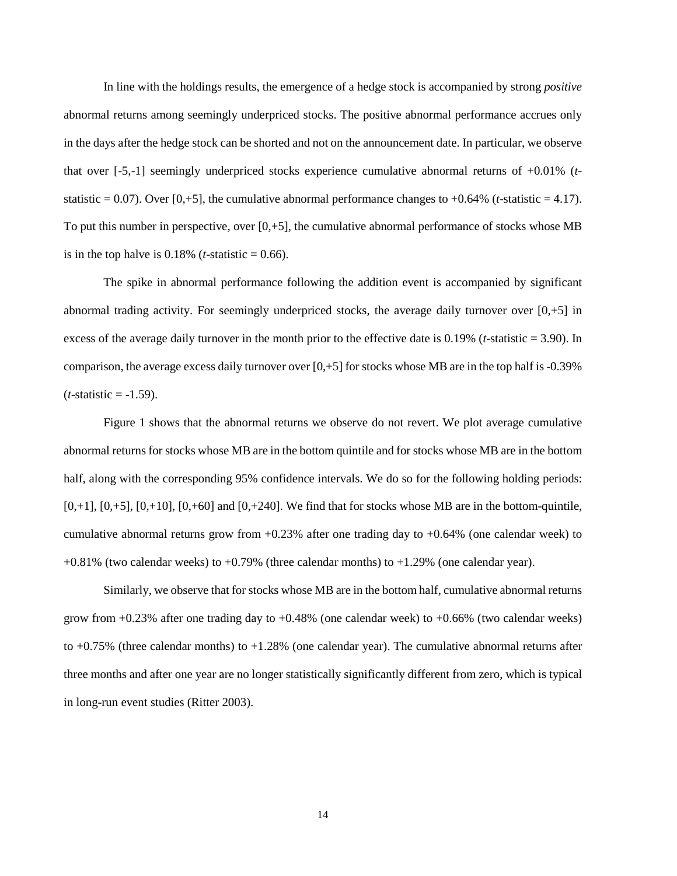In line with the holdings results, the emergence of a hedge stock is accompanied by strong *positive* abnormal returns among seemingly underpriced stocks. The positive abnormal performance accrues only in the days after the hedge stock can be shorted and not on the announcement date. In particular, we observe that over [-5,-1] seemingly underpriced stocks experience cumulative abnormal returns of +0.01% (*t*statistic  $= 0.07$ ). Over [0,+5], the cumulative abnormal performance changes to +0.64% (*t*-statistic  $= 4.17$ ). To put this number in perspective, over  $[0, +5]$ , the cumulative abnormal performance of stocks whose MB is in the top halve is  $0.18\%$  (*t*-statistic = 0.66).

The spike in abnormal performance following the addition event is accompanied by significant abnormal trading activity. For seemingly underpriced stocks, the average daily turnover over [0,+5] in excess of the average daily turnover in the month prior to the effective date is 0.19% (*t*-statistic = 3.90). In comparison, the average excess daily turnover over  $[0, +5]$  for stocks whose MB are in the top half is -0.39%  $(t\text{-statistic} = -1.59)$ .

Figure 1 shows that the abnormal returns we observe do not revert. We plot average cumulative abnormal returns for stocks whose MB are in the bottom quintile and for stocks whose MB are in the bottom half, along with the corresponding 95% confidence intervals. We do so for the following holding periods:  $[0, +1]$ ,  $[0, +5]$ ,  $[0, +10]$ ,  $[0, +60]$  and  $[0, +240]$ . We find that for stocks whose MB are in the bottom-quintile, cumulative abnormal returns grow from +0.23% after one trading day to +0.64% (one calendar week) to  $+0.81\%$  (two calendar weeks) to  $+0.79\%$  (three calendar months) to  $+1.29\%$  (one calendar year).

Similarly, we observe that for stocks whose MB are in the bottom half, cumulative abnormal returns grow from +0.23% after one trading day to +0.48% (one calendar week) to +0.66% (two calendar weeks) to +0.75% (three calendar months) to +1.28% (one calendar year). The cumulative abnormal returns after three months and after one year are no longer statistically significantly different from zero, which is typical in long-run event studies (Ritter 2003).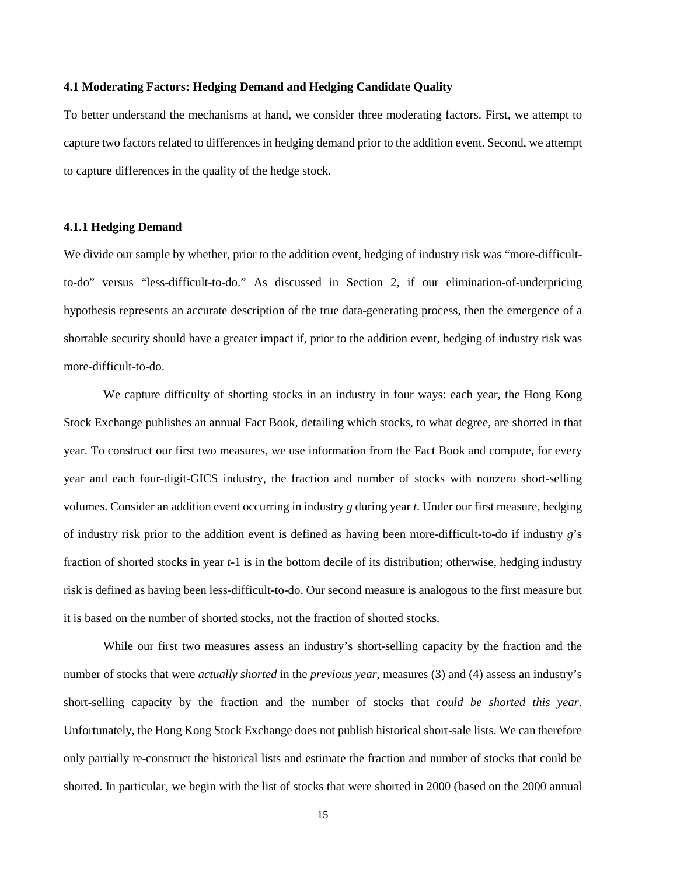## **4.1 Moderating Factors: Hedging Demand and Hedging Candidate Quality**

To better understand the mechanisms at hand, we consider three moderating factors. First, we attempt to capture two factors related to differences in hedging demand prior to the addition event. Second, we attempt to capture differences in the quality of the hedge stock.

## **4.1.1 Hedging Demand**

We divide our sample by whether, prior to the addition event, hedging of industry risk was "more-difficultto-do" versus "less-difficult-to-do." As discussed in Section 2, if our elimination-of-underpricing hypothesis represents an accurate description of the true data-generating process, then the emergence of a shortable security should have a greater impact if, prior to the addition event, hedging of industry risk was more-difficult-to-do.

We capture difficulty of shorting stocks in an industry in four ways: each year, the Hong Kong Stock Exchange publishes an annual Fact Book, detailing which stocks, to what degree, are shorted in that year. To construct our first two measures, we use information from the Fact Book and compute, for every year and each four-digit-GICS industry, the fraction and number of stocks with nonzero short-selling volumes. Consider an addition event occurring in industry *g* during year *t*. Under our first measure, hedging of industry risk prior to the addition event is defined as having been more-difficult-to-do if industry *g*'s fraction of shorted stocks in year *t*-1 is in the bottom decile of its distribution; otherwise, hedging industry risk is defined as having been less-difficult-to-do. Our second measure is analogous to the first measure but it is based on the number of shorted stocks, not the fraction of shorted stocks.

While our first two measures assess an industry's short-selling capacity by the fraction and the number of stocks that were *actually shorted* in the *previous year*, measures (3) and (4) assess an industry's short-selling capacity by the fraction and the number of stocks that *could be shorted this year*. Unfortunately, the Hong Kong Stock Exchange does not publish historical short-sale lists. We can therefore only partially re-construct the historical lists and estimate the fraction and number of stocks that could be shorted. In particular, we begin with the list of stocks that were shorted in 2000 (based on the 2000 annual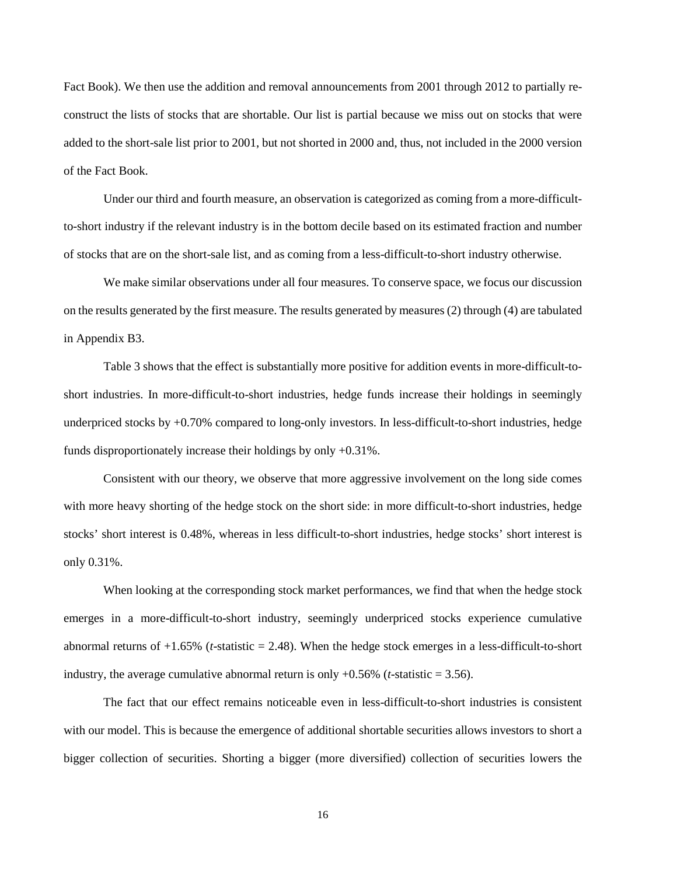Fact Book). We then use the addition and removal announcements from 2001 through 2012 to partially reconstruct the lists of stocks that are shortable. Our list is partial because we miss out on stocks that were added to the short-sale list prior to 2001, but not shorted in 2000 and, thus, not included in the 2000 version of the Fact Book.

Under our third and fourth measure, an observation is categorized as coming from a more-difficultto-short industry if the relevant industry is in the bottom decile based on its estimated fraction and number of stocks that are on the short-sale list, and as coming from a less-difficult-to-short industry otherwise.

We make similar observations under all four measures. To conserve space, we focus our discussion on the results generated by the first measure. The results generated by measures (2) through (4) are tabulated in Appendix B3.

Table 3 shows that the effect is substantially more positive for addition events in more-difficult-toshort industries. In more-difficult-to-short industries, hedge funds increase their holdings in seemingly underpriced stocks by +0.70% compared to long-only investors. In less-difficult-to-short industries, hedge funds disproportionately increase their holdings by only +0.31%.

Consistent with our theory, we observe that more aggressive involvement on the long side comes with more heavy shorting of the hedge stock on the short side: in more difficult-to-short industries, hedge stocks' short interest is 0.48%, whereas in less difficult-to-short industries, hedge stocks' short interest is only 0.31%.

When looking at the corresponding stock market performances, we find that when the hedge stock emerges in a more-difficult-to-short industry, seemingly underpriced stocks experience cumulative abnormal returns of +1.65% (*t*-statistic = 2.48). When the hedge stock emerges in a less-difficult-to-short industry, the average cumulative abnormal return is only  $+0.56\%$  (*t*-statistic = 3.56).

The fact that our effect remains noticeable even in less-difficult-to-short industries is consistent with our model. This is because the emergence of additional shortable securities allows investors to short a bigger collection of securities. Shorting a bigger (more diversified) collection of securities lowers the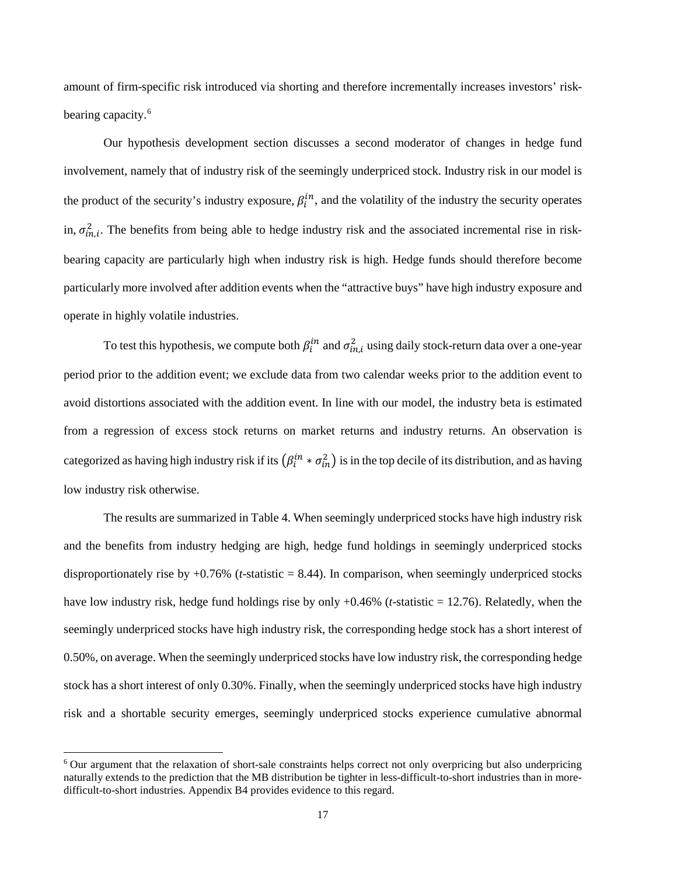amount of firm-specific risk introduced via shorting and therefore incrementally increases investors' riskbearing capacity. 6

Our hypothesis development section discusses a second moderator of changes in hedge fund involvement, namely that of industry risk of the seemingly underpriced stock. Industry risk in our model is the product of the security's industry exposure,  $\beta_i^{in}$ , and the volatility of the industry the security operates in,  $\sigma_{in,i}^2$ . The benefits from being able to hedge industry risk and the associated incremental rise in riskbearing capacity are particularly high when industry risk is high. Hedge funds should therefore become particularly more involved after addition events when the "attractive buys" have high industry exposure and operate in highly volatile industries.

To test this hypothesis, we compute both  $\beta_i^{in}$  and  $\sigma_{in,i}^2$  using daily stock-return data over a one-year period prior to the addition event; we exclude data from two calendar weeks prior to the addition event to avoid distortions associated with the addition event. In line with our model, the industry beta is estimated from a regression of excess stock returns on market returns and industry returns. An observation is categorized as having high industry risk if its  $(\beta_i^{in} * \sigma_{in}^2)$  is in the top decile of its distribution, and as having low industry risk otherwise.

The results are summarized in Table 4. When seemingly underpriced stocks have high industry risk and the benefits from industry hedging are high, hedge fund holdings in seemingly underpriced stocks disproportionately rise by +0.76% (*t*-statistic = 8.44). In comparison, when seemingly underpriced stocks have low industry risk, hedge fund holdings rise by only +0.46% (*t*-statistic = 12.76). Relatedly, when the seemingly underpriced stocks have high industry risk, the corresponding hedge stock has a short interest of 0.50%, on average. When the seemingly underpriced stocks have low industry risk, the corresponding hedge stock has a short interest of only 0.30%. Finally, when the seemingly underpriced stocks have high industry risk and a shortable security emerges, seemingly underpriced stocks experience cumulative abnormal

 $\overline{a}$ 

<sup>6</sup> Our argument that the relaxation of short-sale constraints helps correct not only overpricing but also underpricing naturally extends to the prediction that the MB distribution be tighter in less-difficult-to-short industries than in moredifficult-to-short industries. Appendix B4 provides evidence to this regard.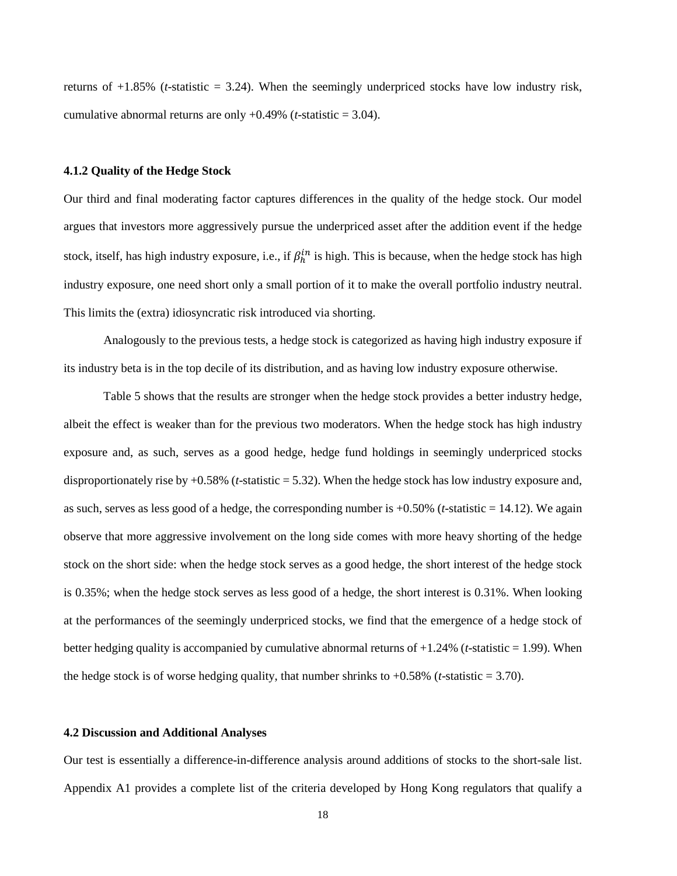returns of  $+1.85\%$  (*t*-statistic = 3.24). When the seemingly underpriced stocks have low industry risk, cumulative abnormal returns are only +0.49% (*t*-statistic = 3.04).

## **4.1.2 Quality of the Hedge Stock**

Our third and final moderating factor captures differences in the quality of the hedge stock. Our model argues that investors more aggressively pursue the underpriced asset after the addition event if the hedge stock, itself, has high industry exposure, i.e., if  $\beta_h^m$  is high. This is because, when the hedge stock has high industry exposure, one need short only a small portion of it to make the overall portfolio industry neutral. This limits the (extra) idiosyncratic risk introduced via shorting.

Analogously to the previous tests, a hedge stock is categorized as having high industry exposure if its industry beta is in the top decile of its distribution, and as having low industry exposure otherwise.

Table 5 shows that the results are stronger when the hedge stock provides a better industry hedge, albeit the effect is weaker than for the previous two moderators. When the hedge stock has high industry exposure and, as such, serves as a good hedge, hedge fund holdings in seemingly underpriced stocks disproportionately rise by +0.58% (*t*-statistic = 5.32). When the hedge stock has low industry exposure and, as such, serves as less good of a hedge, the corresponding number is +0.50% (*t*-statistic = 14.12). We again observe that more aggressive involvement on the long side comes with more heavy shorting of the hedge stock on the short side: when the hedge stock serves as a good hedge, the short interest of the hedge stock is 0.35%; when the hedge stock serves as less good of a hedge, the short interest is 0.31%. When looking at the performances of the seemingly underpriced stocks, we find that the emergence of a hedge stock of better hedging quality is accompanied by cumulative abnormal returns of +1.24% (*t*-statistic = 1.99). When the hedge stock is of worse hedging quality, that number shrinks to +0.58% (*t*-statistic = 3.70).

## **4.2 Discussion and Additional Analyses**

Our test is essentially a difference-in-difference analysis around additions of stocks to the short-sale list. Appendix A1 provides a complete list of the criteria developed by Hong Kong regulators that qualify a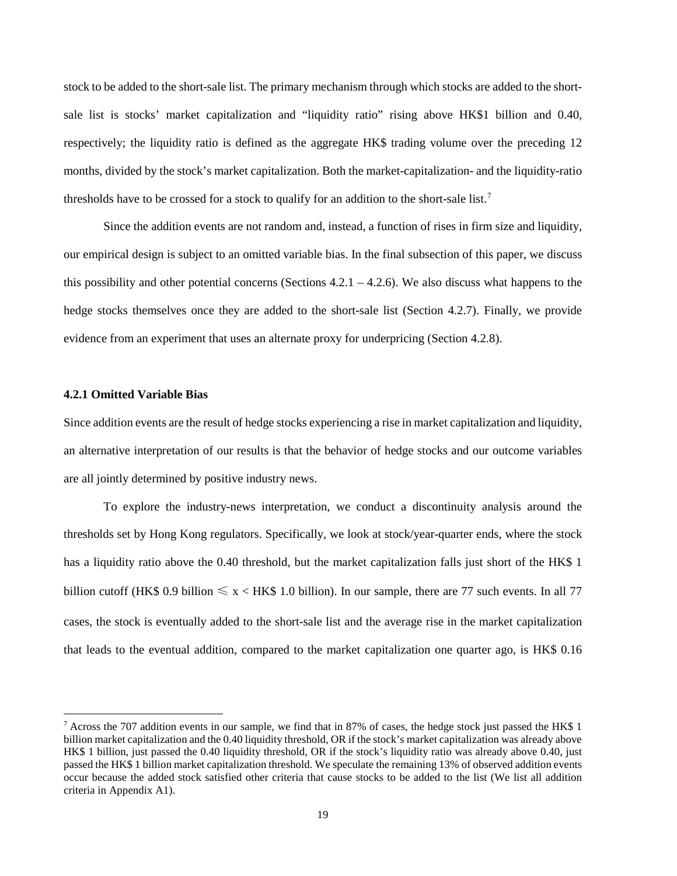stock to be added to the short-sale list. The primary mechanism through which stocks are added to the shortsale list is stocks' market capitalization and "liquidity ratio" rising above HK\$1 billion and 0.40, respectively; the liquidity ratio is defined as the aggregate HK\$ trading volume over the preceding 12 months, divided by the stock's market capitalization. Both the market-capitalization- and the liquidity-ratio thresholds have to be crossed for a stock to qualify for an addition to the short-sale list.<sup>7</sup>

Since the addition events are not random and, instead, a function of rises in firm size and liquidity, our empirical design is subject to an omitted variable bias. In the final subsection of this paper, we discuss this possibility and other potential concerns (Sections  $4.2.1 - 4.2.6$ ). We also discuss what happens to the hedge stocks themselves once they are added to the short-sale list (Section 4.2.7). Finally, we provide evidence from an experiment that uses an alternate proxy for underpricing (Section 4.2.8).

## **4.2.1 Omitted Variable Bias**

l

Since addition events are the result of hedge stocks experiencing a rise in market capitalization and liquidity, an alternative interpretation of our results is that the behavior of hedge stocks and our outcome variables are all jointly determined by positive industry news.

To explore the industry-news interpretation, we conduct a discontinuity analysis around the thresholds set by Hong Kong regulators. Specifically, we look at stock/year-quarter ends, where the stock has a liquidity ratio above the 0.40 threshold, but the market capitalization falls just short of the HK\$ 1 billion cutoff (HK\$ 0.9 billion  $\leq x <$  HK\$ 1.0 billion). In our sample, there are 77 such events. In all 77 cases, the stock is eventually added to the short-sale list and the average rise in the market capitalization that leads to the eventual addition, compared to the market capitalization one quarter ago, is HK\$ 0.16

 $7$  Across the 707 addition events in our sample, we find that in 87% of cases, the hedge stock just passed the HK\$ 1 billion market capitalization and the 0.40 liquidity threshold, OR if the stock's market capitalization was already above HK\$ 1 billion, just passed the 0.40 liquidity threshold, OR if the stock's liquidity ratio was already above 0.40, just passed the HK\$ 1 billion market capitalization threshold. We speculate the remaining 13% of observed addition events occur because the added stock satisfied other criteria that cause stocks to be added to the list (We list all addition criteria in Appendix A1).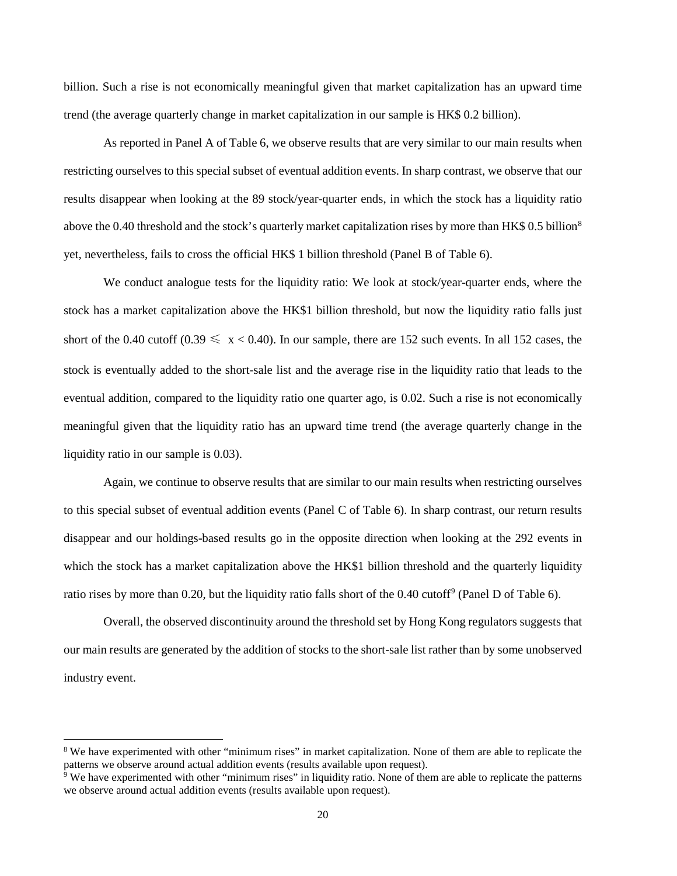billion. Such a rise is not economically meaningful given that market capitalization has an upward time trend (the average quarterly change in market capitalization in our sample is HK\$ 0.2 billion).

As reported in Panel A of Table 6, we observe results that are very similar to our main results when restricting ourselves to this special subset of eventual addition events. In sharp contrast, we observe that our results disappear when looking at the 89 stock/year-quarter ends, in which the stock has a liquidity ratio above the 0.40 threshold and the stock's quarterly market capitalization rises by more than HK\$ 0.5 billion<sup>8</sup> yet, nevertheless, fails to cross the official HK\$ 1 billion threshold (Panel B of Table 6).

We conduct analogue tests for the liquidity ratio: We look at stock/year-quarter ends, where the stock has a market capitalization above the HK\$1 billion threshold, but now the liquidity ratio falls just short of the 0.40 cutoff (0.39  $\leq x < 0.40$ ). In our sample, there are 152 such events. In all 152 cases, the stock is eventually added to the short-sale list and the average rise in the liquidity ratio that leads to the eventual addition, compared to the liquidity ratio one quarter ago, is 0.02. Such a rise is not economically meaningful given that the liquidity ratio has an upward time trend (the average quarterly change in the liquidity ratio in our sample is 0.03).

Again, we continue to observe results that are similar to our main results when restricting ourselves to this special subset of eventual addition events (Panel C of Table 6). In sharp contrast, our return results disappear and our holdings-based results go in the opposite direction when looking at the 292 events in which the stock has a market capitalization above the HK\$1 billion threshold and the quarterly liquidity ratio rises by more than 0.20, but the liquidity ratio falls short of the 0.40 cutoff<sup>9</sup> (Panel D of Table 6).

Overall, the observed discontinuity around the threshold set by Hong Kong regulators suggests that our main results are generated by the addition of stocks to the short-sale list rather than by some unobserved industry event.

 $\overline{a}$ 

<sup>&</sup>lt;sup>8</sup> We have experimented with other "minimum rises" in market capitalization. None of them are able to replicate the patterns we observe around actual addition events (results available upon request).

<sup>9</sup> We have experimented with other "minimum rises" in liquidity ratio. None of them are able to replicate the patterns we observe around actual addition events (results available upon request).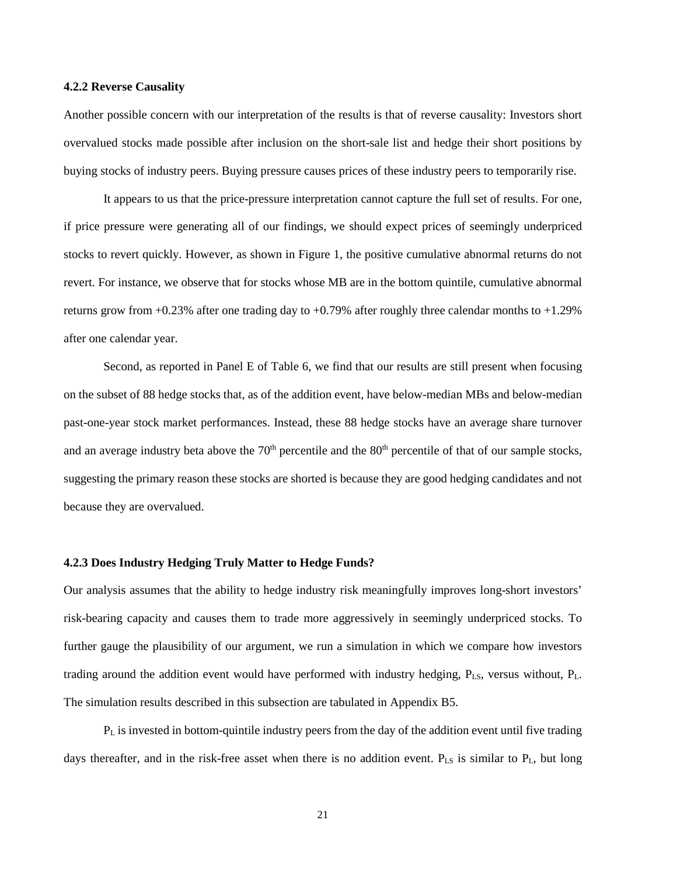## **4.2.2 Reverse Causality**

Another possible concern with our interpretation of the results is that of reverse causality: Investors short overvalued stocks made possible after inclusion on the short-sale list and hedge their short positions by buying stocks of industry peers. Buying pressure causes prices of these industry peers to temporarily rise.

It appears to us that the price-pressure interpretation cannot capture the full set of results. For one, if price pressure were generating all of our findings, we should expect prices of seemingly underpriced stocks to revert quickly. However, as shown in Figure 1, the positive cumulative abnormal returns do not revert. For instance, we observe that for stocks whose MB are in the bottom quintile, cumulative abnormal returns grow from  $+0.23\%$  after one trading day to  $+0.79\%$  after roughly three calendar months to  $+1.29\%$ after one calendar year.

Second, as reported in Panel E of Table 6, we find that our results are still present when focusing on the subset of 88 hedge stocks that, as of the addition event, have below-median MBs and below-median past-one-year stock market performances. Instead, these 88 hedge stocks have an average share turnover and an average industry beta above the  $70<sup>th</sup>$  percentile and the  $80<sup>th</sup>$  percentile of that of our sample stocks, suggesting the primary reason these stocks are shorted is because they are good hedging candidates and not because they are overvalued.

## **4.2.3 Does Industry Hedging Truly Matter to Hedge Funds?**

Our analysis assumes that the ability to hedge industry risk meaningfully improves long-short investors' risk-bearing capacity and causes them to trade more aggressively in seemingly underpriced stocks. To further gauge the plausibility of our argument, we run a simulation in which we compare how investors trading around the addition event would have performed with industry hedging,  $P_{LS}$ , versus without,  $P_{L}$ . The simulation results described in this subsection are tabulated in Appendix B5.

 $P<sub>L</sub>$  is invested in bottom-quintile industry peers from the day of the addition event until five trading days thereafter, and in the risk-free asset when there is no addition event.  $P_{LS}$  is similar to  $P_L$ , but long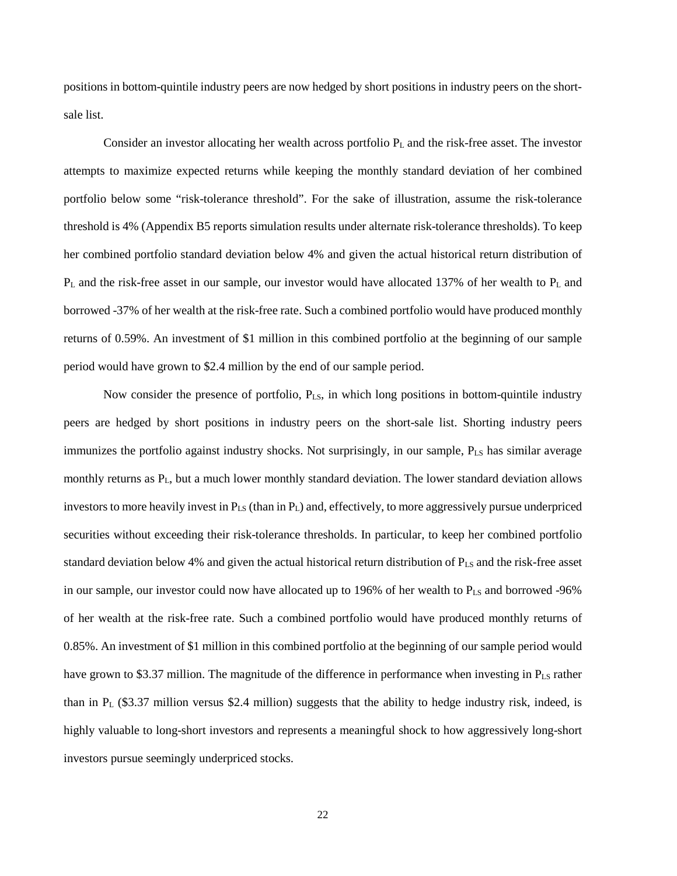positions in bottom-quintile industry peers are now hedged by short positions in industry peers on the shortsale list.

Consider an investor allocating her wealth across portfolio  $P<sub>L</sub>$  and the risk-free asset. The investor attempts to maximize expected returns while keeping the monthly standard deviation of her combined portfolio below some "risk-tolerance threshold". For the sake of illustration, assume the risk-tolerance threshold is 4% (Appendix B5 reports simulation results under alternate risk-tolerance thresholds). To keep her combined portfolio standard deviation below 4% and given the actual historical return distribution of  $P<sub>L</sub>$  and the risk-free asset in our sample, our investor would have allocated 137% of her wealth to  $P<sub>L</sub>$  and borrowed -37% of her wealth at the risk-free rate. Such a combined portfolio would have produced monthly returns of 0.59%. An investment of \$1 million in this combined portfolio at the beginning of our sample period would have grown to \$2.4 million by the end of our sample period.

Now consider the presence of portfolio, P<sub>LS</sub>, in which long positions in bottom-quintile industry peers are hedged by short positions in industry peers on the short-sale list. Shorting industry peers immunizes the portfolio against industry shocks. Not surprisingly, in our sample, P<sub>LS</sub> has similar average monthly returns as  $P_L$ , but a much lower monthly standard deviation. The lower standard deviation allows investors to more heavily invest in PLS (than in PL) and, effectively, to more aggressively pursue underpriced securities without exceeding their risk-tolerance thresholds. In particular, to keep her combined portfolio standard deviation below 4% and given the actual historical return distribution of  $P_{LS}$  and the risk-free asset in our sample, our investor could now have allocated up to 196% of her wealth to  $P_{LS}$  and borrowed -96% of her wealth at the risk-free rate. Such a combined portfolio would have produced monthly returns of 0.85%. An investment of \$1 million in this combined portfolio at the beginning of our sample period would have grown to \$3.37 million. The magnitude of the difference in performance when investing in P<sub>LS</sub> rather than in  $P_L$  (\$3.37 million versus \$2.4 million) suggests that the ability to hedge industry risk, indeed, is highly valuable to long-short investors and represents a meaningful shock to how aggressively long-short investors pursue seemingly underpriced stocks.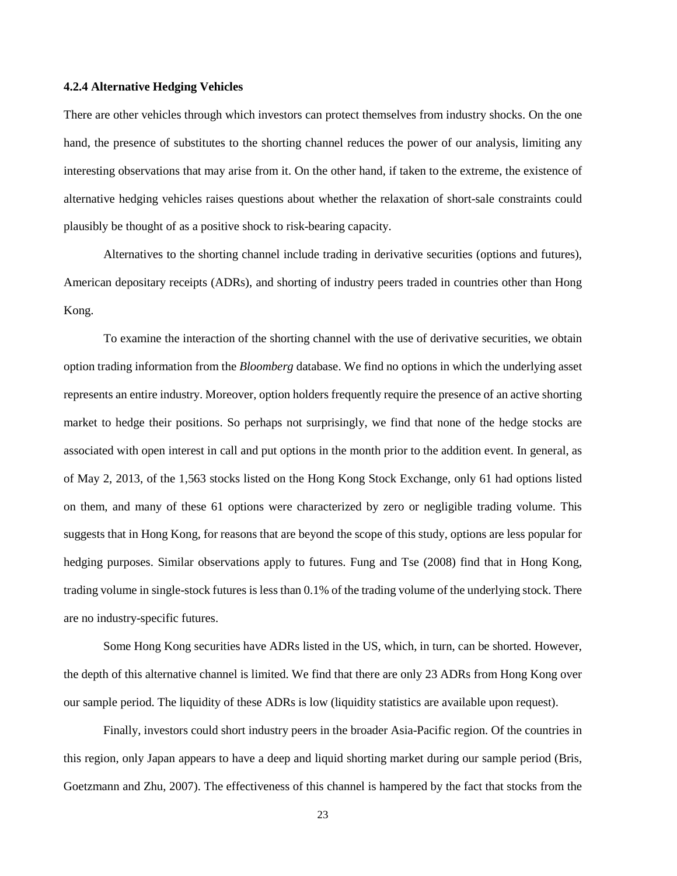## **4.2.4 Alternative Hedging Vehicles**

There are other vehicles through which investors can protect themselves from industry shocks. On the one hand, the presence of substitutes to the shorting channel reduces the power of our analysis, limiting any interesting observations that may arise from it. On the other hand, if taken to the extreme, the existence of alternative hedging vehicles raises questions about whether the relaxation of short-sale constraints could plausibly be thought of as a positive shock to risk-bearing capacity.

Alternatives to the shorting channel include trading in derivative securities (options and futures), American depositary receipts (ADRs), and shorting of industry peers traded in countries other than Hong Kong.

To examine the interaction of the shorting channel with the use of derivative securities, we obtain option trading information from the *Bloomberg* database. We find no options in which the underlying asset represents an entire industry. Moreover, option holders frequently require the presence of an active shorting market to hedge their positions. So perhaps not surprisingly, we find that none of the hedge stocks are associated with open interest in call and put options in the month prior to the addition event. In general, as of May 2, 2013, of the 1,563 stocks listed on the Hong Kong Stock Exchange, only 61 had options listed on them, and many of these 61 options were characterized by zero or negligible trading volume. This suggests that in Hong Kong, for reasons that are beyond the scope of this study, options are less popular for hedging purposes. Similar observations apply to futures. Fung and Tse (2008) find that in Hong Kong, trading volume in single-stock futures is less than 0.1% of the trading volume of the underlying stock. There are no industry-specific futures.

Some Hong Kong securities have ADRs listed in the US, which, in turn, can be shorted. However, the depth of this alternative channel is limited. We find that there are only 23 ADRs from Hong Kong over our sample period. The liquidity of these ADRs is low (liquidity statistics are available upon request).

Finally, investors could short industry peers in the broader Asia-Pacific region. Of the countries in this region, only Japan appears to have a deep and liquid shorting market during our sample period (Bris, Goetzmann and Zhu, 2007). The effectiveness of this channel is hampered by the fact that stocks from the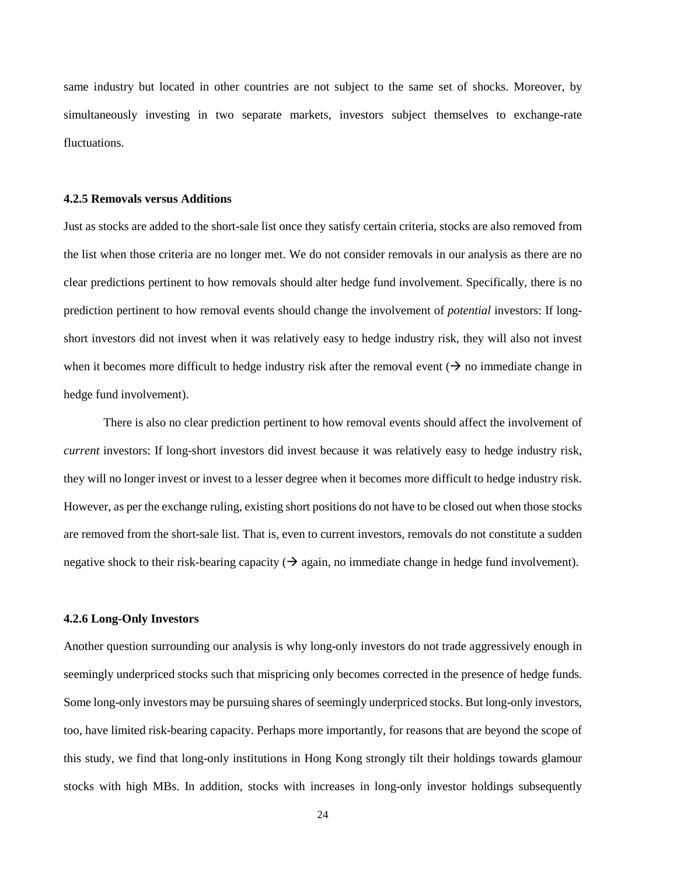same industry but located in other countries are not subject to the same set of shocks. Moreover, by simultaneously investing in two separate markets, investors subject themselves to exchange-rate fluctuations.

#### **4.2.5 Removals versus Additions**

Just as stocks are added to the short-sale list once they satisfy certain criteria, stocks are also removed from the list when those criteria are no longer met. We do not consider removals in our analysis as there are no clear predictions pertinent to how removals should alter hedge fund involvement. Specifically, there is no prediction pertinent to how removal events should change the involvement of *potential* investors: If longshort investors did not invest when it was relatively easy to hedge industry risk, they will also not invest when it becomes more difficult to hedge industry risk after the removal event  $(\rightarrow)$  no immediate change in hedge fund involvement).

There is also no clear prediction pertinent to how removal events should affect the involvement of *current* investors: If long-short investors did invest because it was relatively easy to hedge industry risk, they will no longer invest or invest to a lesser degree when it becomes more difficult to hedge industry risk. However, as per the exchange ruling, existing short positions do not have to be closed out when those stocks are removed from the short-sale list. That is, even to current investors, removals do not constitute a sudden negative shock to their risk-bearing capacity ( $\rightarrow$  again, no immediate change in hedge fund involvement).

#### **4.2.6 Long-Only Investors**

Another question surrounding our analysis is why long-only investors do not trade aggressively enough in seemingly underpriced stocks such that mispricing only becomes corrected in the presence of hedge funds. Some long-only investors may be pursuing shares of seemingly underpriced stocks. But long-only investors, too, have limited risk-bearing capacity. Perhaps more importantly, for reasons that are beyond the scope of this study, we find that long-only institutions in Hong Kong strongly tilt their holdings towards glamour stocks with high MBs. In addition, stocks with increases in long-only investor holdings subsequently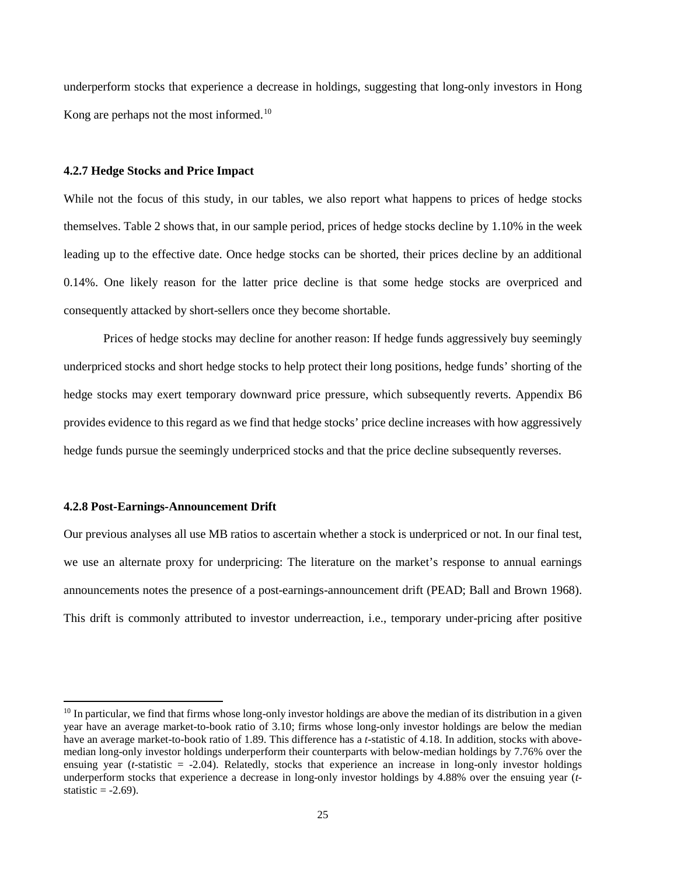underperform stocks that experience a decrease in holdings, suggesting that long-only investors in Hong Kong are perhaps not the most informed.<sup>10</sup>

## **4.2.7 Hedge Stocks and Price Impact**

While not the focus of this study, in our tables, we also report what happens to prices of hedge stocks themselves. Table 2 shows that, in our sample period, prices of hedge stocks decline by 1.10% in the week leading up to the effective date. Once hedge stocks can be shorted, their prices decline by an additional 0.14%. One likely reason for the latter price decline is that some hedge stocks are overpriced and consequently attacked by short-sellers once they become shortable.

Prices of hedge stocks may decline for another reason: If hedge funds aggressively buy seemingly underpriced stocks and short hedge stocks to help protect their long positions, hedge funds' shorting of the hedge stocks may exert temporary downward price pressure, which subsequently reverts. Appendix B6 provides evidence to this regard as we find that hedge stocks' price decline increases with how aggressively hedge funds pursue the seemingly underpriced stocks and that the price decline subsequently reverses.

## **4.2.8 Post-Earnings-Announcement Drift**

 $\overline{a}$ 

Our previous analyses all use MB ratios to ascertain whether a stock is underpriced or not. In our final test, we use an alternate proxy for underpricing: The literature on the market's response to annual earnings announcements notes the presence of a post-earnings-announcement drift (PEAD; Ball and Brown 1968). This drift is commonly attributed to investor underreaction, i.e., temporary under-pricing after positive

 $10$  In particular, we find that firms whose long-only investor holdings are above the median of its distribution in a given year have an average market-to-book ratio of 3.10; firms whose long-only investor holdings are below the median have an average market-to-book ratio of 1.89. This difference has a *t*-statistic of 4.18. In addition, stocks with abovemedian long-only investor holdings underperform their counterparts with below-median holdings by 7.76% over the ensuing year (*t*-statistic = -2.04). Relatedly, stocks that experience an increase in long-only investor holdings underperform stocks that experience a decrease in long-only investor holdings by 4.88% over the ensuing year (*t*statistic  $= -2.69$ ).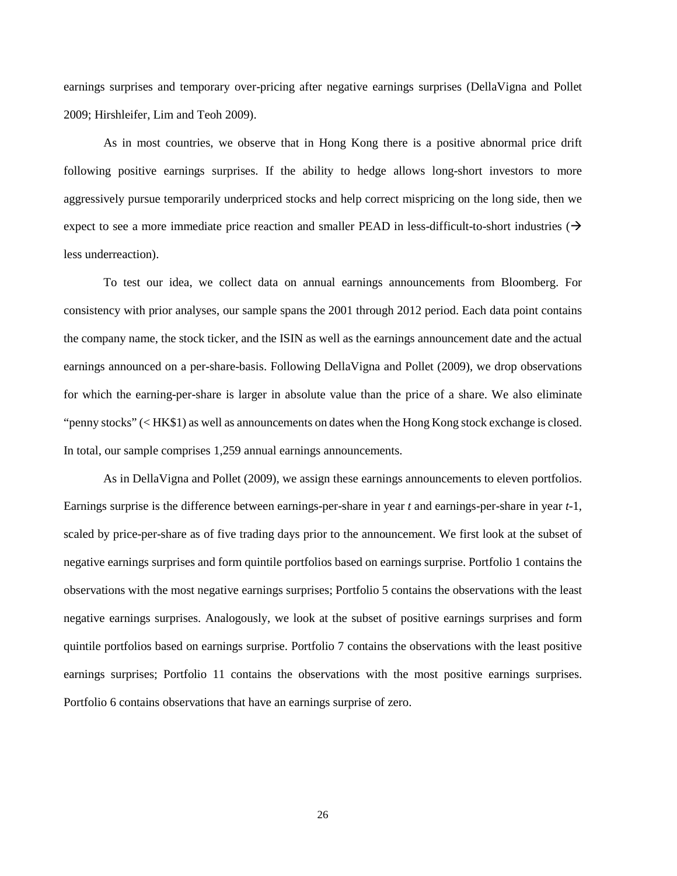earnings surprises and temporary over-pricing after negative earnings surprises (DellaVigna and Pollet 2009; Hirshleifer, Lim and Teoh 2009).

As in most countries, we observe that in Hong Kong there is a positive abnormal price drift following positive earnings surprises. If the ability to hedge allows long-short investors to more aggressively pursue temporarily underpriced stocks and help correct mispricing on the long side, then we expect to see a more immediate price reaction and smaller PEAD in less-difficult-to-short industries  $(\rightarrow$ less underreaction).

To test our idea, we collect data on annual earnings announcements from Bloomberg. For consistency with prior analyses, our sample spans the 2001 through 2012 period. Each data point contains the company name, the stock ticker, and the ISIN as well as the earnings announcement date and the actual earnings announced on a per-share-basis. Following DellaVigna and Pollet (2009), we drop observations for which the earning-per-share is larger in absolute value than the price of a share. We also eliminate "penny stocks" (< HK\$1) as well as announcements on dates when the Hong Kong stock exchange is closed. In total, our sample comprises 1,259 annual earnings announcements.

As in DellaVigna and Pollet (2009), we assign these earnings announcements to eleven portfolios. Earnings surprise is the difference between earnings-per-share in year *t* and earnings-per-share in year *t*-1, scaled by price-per-share as of five trading days prior to the announcement. We first look at the subset of negative earnings surprises and form quintile portfolios based on earnings surprise. Portfolio 1 contains the observations with the most negative earnings surprises; Portfolio 5 contains the observations with the least negative earnings surprises. Analogously, we look at the subset of positive earnings surprises and form quintile portfolios based on earnings surprise. Portfolio 7 contains the observations with the least positive earnings surprises; Portfolio 11 contains the observations with the most positive earnings surprises. Portfolio 6 contains observations that have an earnings surprise of zero.

26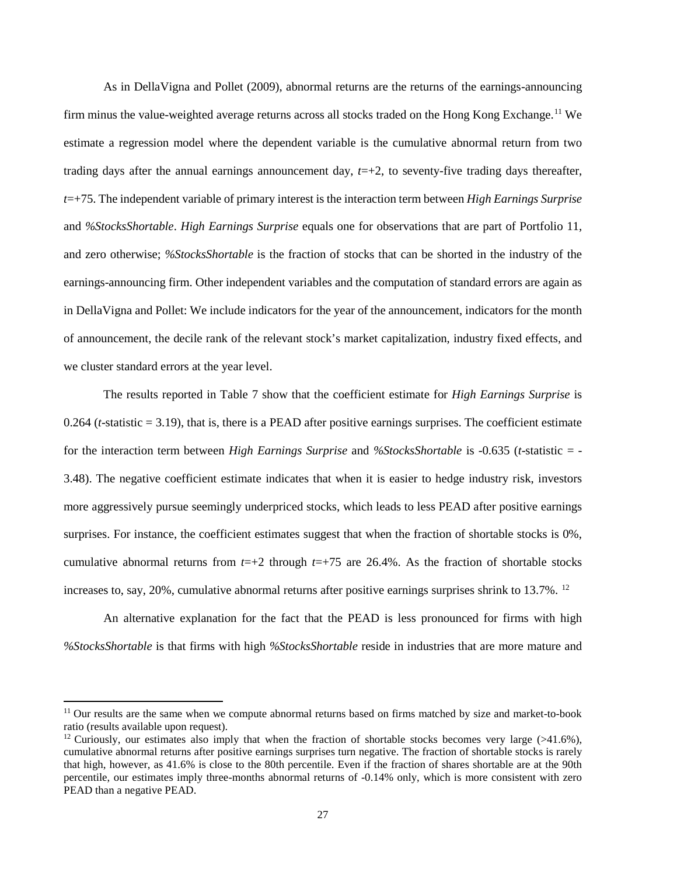As in DellaVigna and Pollet (2009), abnormal returns are the returns of the earnings-announcing firm minus the value-weighted average returns across all stocks traded on the Hong Kong Exchange.<sup>11</sup> We estimate a regression model where the dependent variable is the cumulative abnormal return from two trading days after the annual earnings announcement day,  $t=+2$ , to seventy-five trading days thereafter, *t*=+75. The independent variable of primary interest is the interaction term between *High Earnings Surprise* and *%StocksShortable*. *High Earnings Surprise* equals one for observations that are part of Portfolio 11, and zero otherwise; *%StocksShortable* is the fraction of stocks that can be shorted in the industry of the earnings-announcing firm. Other independent variables and the computation of standard errors are again as in DellaVigna and Pollet: We include indicators for the year of the announcement, indicators for the month of announcement, the decile rank of the relevant stock's market capitalization, industry fixed effects, and we cluster standard errors at the year level.

The results reported in Table 7 show that the coefficient estimate for *High Earnings Surprise* is 0.264 (*t*-statistic = 3.19), that is, there is a PEAD after positive earnings surprises. The coefficient estimate for the interaction term between *High Earnings Surprise* and *%StocksShortable* is -0.635 (*t*-statistic = - 3.48). The negative coefficient estimate indicates that when it is easier to hedge industry risk, investors more aggressively pursue seemingly underpriced stocks, which leads to less PEAD after positive earnings surprises. For instance, the coefficient estimates suggest that when the fraction of shortable stocks is 0%, cumulative abnormal returns from  $t=+2$  through  $t=+75$  are 26.4%. As the fraction of shortable stocks increases to, say, 20%, cumulative abnormal returns after positive earnings surprises shrink to 13.7%. <sup>12</sup>

An alternative explanation for the fact that the PEAD is less pronounced for firms with high *%StocksShortable* is that firms with high *%StocksShortable* reside in industries that are more mature and

 $\overline{a}$ 

<sup>&</sup>lt;sup>11</sup> Our results are the same when we compute abnormal returns based on firms matched by size and market-to-book ratio (results available upon request).

<sup>&</sup>lt;sup>12</sup> Curiously, our estimates also imply that when the fraction of shortable stocks becomes very large  $(>41.6\%)$ , cumulative abnormal returns after positive earnings surprises turn negative. The fraction of shortable stocks is rarely that high, however, as 41.6% is close to the 80th percentile. Even if the fraction of shares shortable are at the 90th percentile, our estimates imply three-months abnormal returns of -0.14% only, which is more consistent with zero PEAD than a negative PEAD.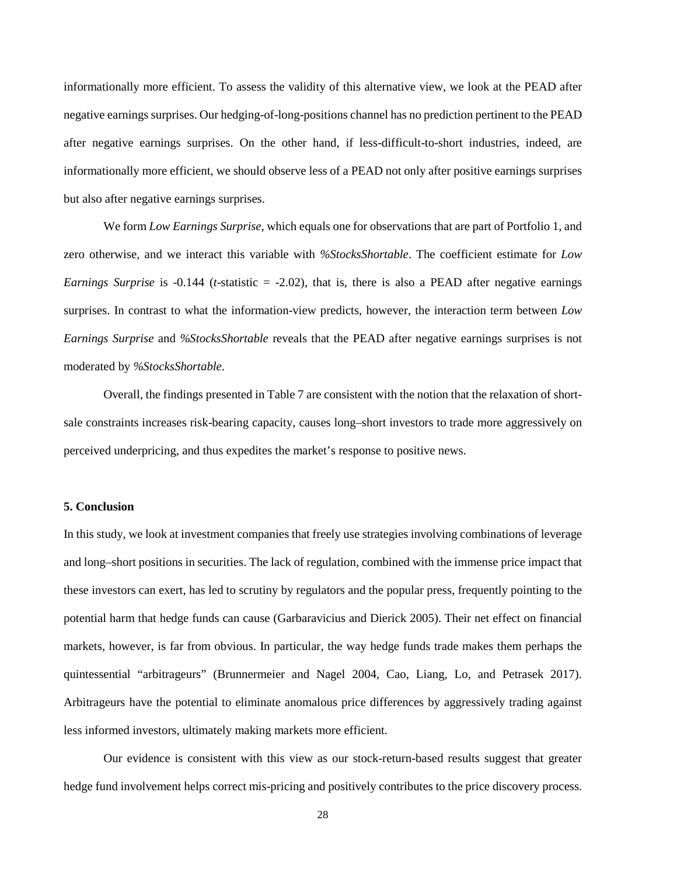informationally more efficient. To assess the validity of this alternative view, we look at the PEAD after negative earnings surprises. Our hedging-of-long-positions channel has no prediction pertinent to the PEAD after negative earnings surprises. On the other hand, if less-difficult-to-short industries, indeed, are informationally more efficient, we should observe less of a PEAD not only after positive earnings surprises but also after negative earnings surprises.

We form *Low Earnings Surprise*, which equals one for observations that are part of Portfolio 1, and zero otherwise, and we interact this variable with *%StocksShortable*. The coefficient estimate for *Low Earnings Surprise* is -0.144 (*t*-statistic = -2.02), that is, there is also a PEAD after negative earnings surprises. In contrast to what the information-view predicts, however, the interaction term between *Low Earnings Surprise* and *%StocksShortable* reveals that the PEAD after negative earnings surprises is not moderated by *%StocksShortable*.

Overall, the findings presented in Table 7 are consistent with the notion that the relaxation of shortsale constraints increases risk-bearing capacity, causes long–short investors to trade more aggressively on perceived underpricing, and thus expedites the market's response to positive news.

## **5. Conclusion**

In this study, we look at investment companies that freely use strategies involving combinations of leverage and long–short positions in securities. The lack of regulation, combined with the immense price impact that these investors can exert, has led to scrutiny by regulators and the popular press, frequently pointing to the potential harm that hedge funds can cause (Garbaravicius and Dierick 2005). Their net effect on financial markets, however, is far from obvious. In particular, the way hedge funds trade makes them perhaps the quintessential "arbitrageurs" (Brunnermeier and Nagel 2004, Cao, Liang, Lo, and Petrasek 2017). Arbitrageurs have the potential to eliminate anomalous price differences by aggressively trading against less informed investors, ultimately making markets more efficient.

Our evidence is consistent with this view as our stock-return-based results suggest that greater hedge fund involvement helps correct mis-pricing and positively contributes to the price discovery process.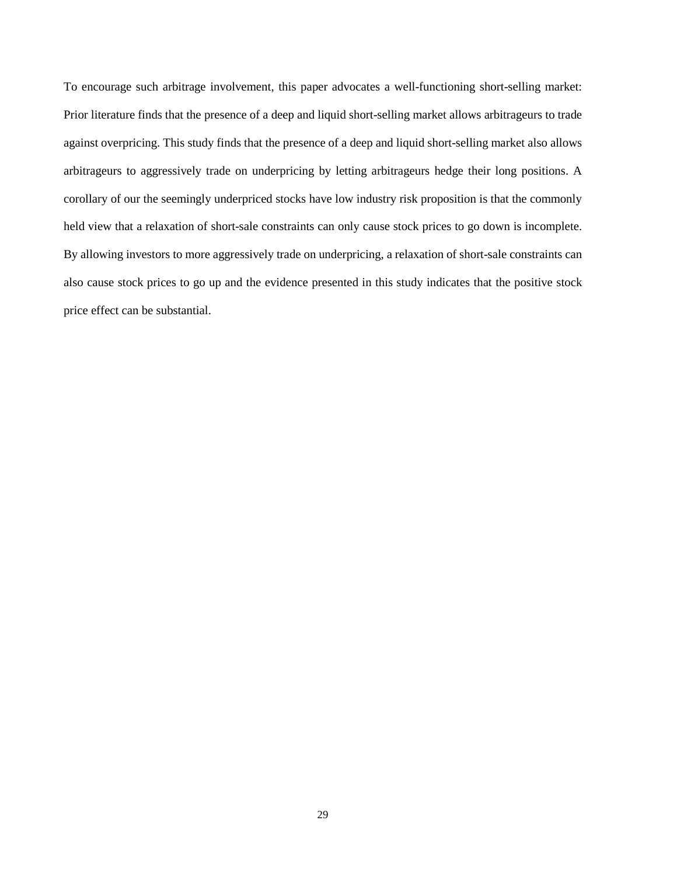To encourage such arbitrage involvement, this paper advocates a well-functioning short-selling market: Prior literature finds that the presence of a deep and liquid short-selling market allows arbitrageurs to trade against overpricing. This study finds that the presence of a deep and liquid short-selling market also allows arbitrageurs to aggressively trade on underpricing by letting arbitrageurs hedge their long positions. A corollary of our the seemingly underpriced stocks have low industry risk proposition is that the commonly held view that a relaxation of short-sale constraints can only cause stock prices to go down is incomplete. By allowing investors to more aggressively trade on underpricing, a relaxation of short-sale constraints can also cause stock prices to go up and the evidence presented in this study indicates that the positive stock price effect can be substantial.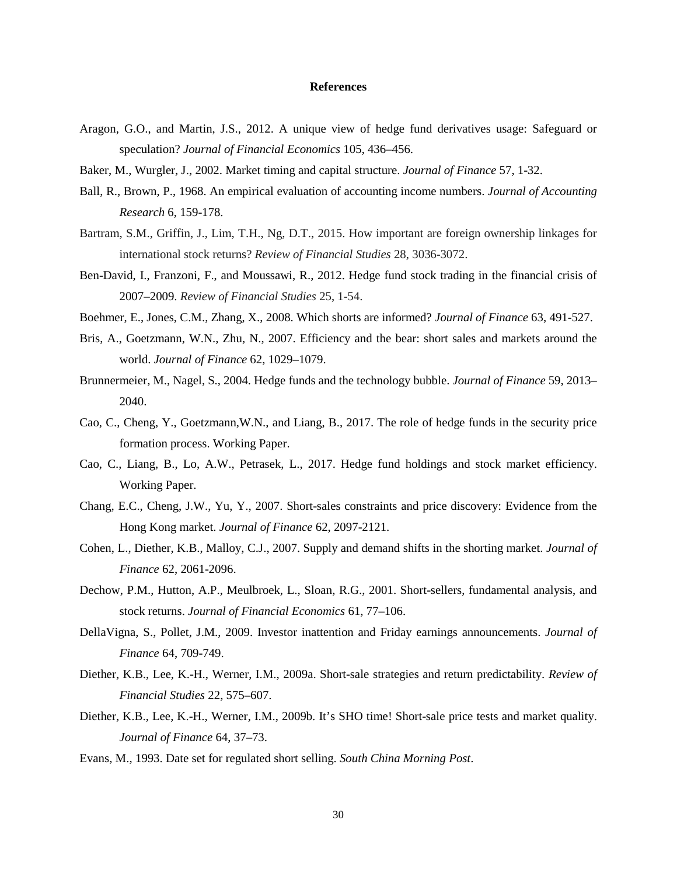## **References**

- Aragon, G.O., and Martin, J.S., 2012. A unique view of hedge fund derivatives usage: Safeguard or speculation? *Journal of Financial Economics* 105, 436–456.
- Baker, M., Wurgler, J., 2002. Market timing and capital structure. *Journal of Finance* 57, 1-32.
- Ball, R., Brown, P., 1968. An empirical evaluation of accounting income numbers. *Journal of Accounting Research* 6, 159-178.
- Bartram, S.M., Griffin, J., Lim, T.H., Ng, D.T., 2015. How important are foreign ownership linkages for international stock returns? *Review of Financial Studies* 28, 3036-3072.
- Ben-David, I., Franzoni, F., and Moussawi, R., 2012. Hedge fund stock trading in the financial crisis of 2007–2009. *Review of Financial Studies* 25, 1-54.
- Boehmer, E., Jones, C.M., Zhang, X., 2008. Which shorts are informed? *Journal of Finance* 63, 491-527.
- Bris, A., Goetzmann, W.N., Zhu, N., 2007. Efficiency and the bear: short sales and markets around the world. *Journal of Finance* 62, 1029–1079.
- Brunnermeier, M., Nagel, S., 2004. Hedge funds and the technology bubble. *Journal of Finance* 59, 2013– 2040.
- Cao, C., Cheng, Y., Goetzmann,W.N., and Liang, B., 2017. The role of hedge funds in the security price formation process. Working Paper.
- Cao, C., Liang, B., Lo, A.W., Petrasek, L., 2017. Hedge fund holdings and stock market efficiency. Working Paper.
- Chang, E.C., Cheng, J.W., Yu, Y., 2007. Short-sales constraints and price discovery: Evidence from the Hong Kong market. *Journal of Finance* 62, 2097-2121.
- Cohen, L., Diether, K.B., Malloy, C.J., 2007. Supply and demand shifts in the shorting market. *Journal of Finance* 62, 2061-2096.
- Dechow, P.M., Hutton, A.P., Meulbroek, L., Sloan, R.G., 2001. Short-sellers, fundamental analysis, and stock returns. *Journal of Financial Economics* 61, 77–106.
- DellaVigna, S., Pollet, J.M., 2009. Investor inattention and Friday earnings announcements. *Journal of Finance* 64, 709-749.
- Diether, K.B., Lee, K.-H., Werner, I.M., 2009a. Short-sale strategies and return predictability. *Review of Financial Studies* 22, 575–607.
- Diether, K.B., Lee, K.-H., Werner, I.M., 2009b. It's SHO time! Short-sale price tests and market quality. *Journal of Finance* 64, 37–73.
- Evans, M., 1993. Date set for regulated short selling. *South China Morning Post*.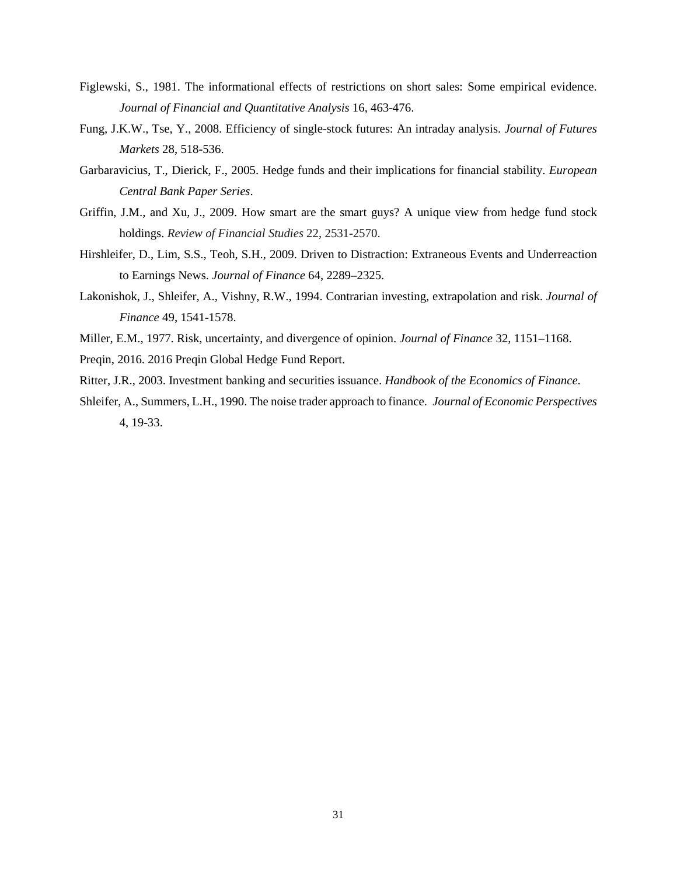- Figlewski, S., 1981. The informational effects of restrictions on short sales: Some empirical evidence. *Journal of Financial and Quantitative Analysis* 16, 463-476.
- Fung, J.K.W., Tse, Y., 2008. Efficiency of single-stock futures: An intraday analysis. *Journal of Futures Markets* 28, 518-536.
- Garbaravicius, T., Dierick, F., 2005. Hedge funds and their implications for financial stability. *European Central Bank Paper Series*.
- Griffin, J.M., and Xu, J., 2009. How smart are the smart guys? A unique view from hedge fund stock holdings. *Review of Financial Studies* 22, 2531-2570.
- Hirshleifer, D., Lim, S.S., Teoh, S.H., 2009. Driven to Distraction: Extraneous Events and Underreaction to Earnings News. *Journal of Finance* 64, 2289–2325.
- Lakonishok, J., Shleifer, A., Vishny, R.W., 1994. Contrarian investing, extrapolation and risk. *Journal of Finance* 49, 1541-1578.
- Miller, E.M., 1977. Risk, uncertainty, and divergence of opinion. *Journal of Finance* 32, 1151–1168.
- Preqin, 2016. 2016 Preqin Global Hedge Fund Report.
- Ritter, J.R., 2003. Investment banking and securities issuance. *Handbook of the Economics of Finance.*
- Shleifer, A., Summers, L.H., 1990. The noise trader approach to finance. *Journal of Economic Perspectives*  4, 19-33.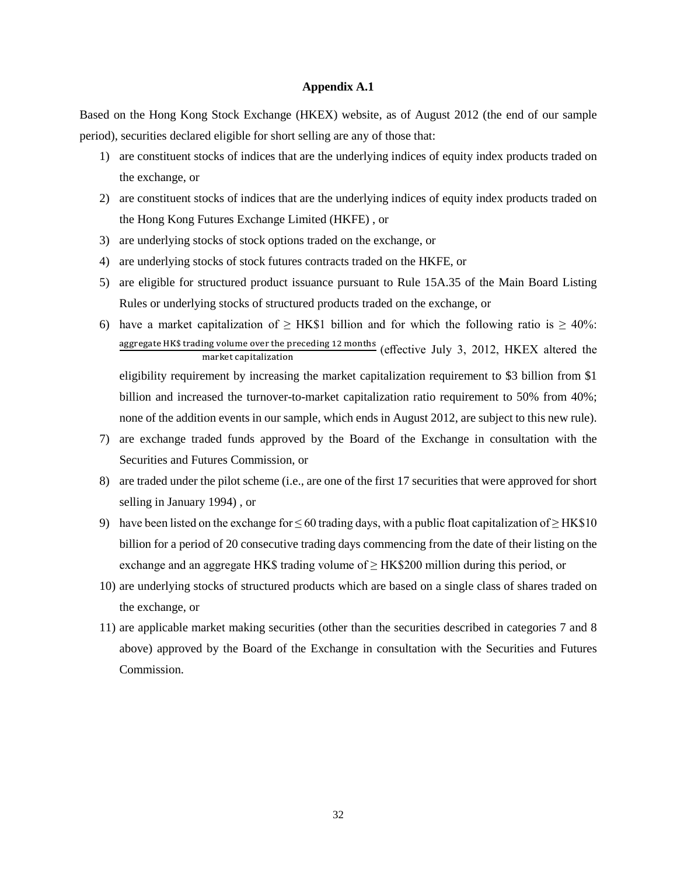## **Appendix A.1**

Based on the Hong Kong Stock Exchange (HKEX) website, as of August 2012 (the end of our sample period), securities declared eligible for short selling are any of those that:

- 1) are constituent stocks of indices that are the underlying indices of equity index products traded on the exchange, or
- 2) are constituent stocks of indices that are the underlying indices of equity index products traded on the Hong Kong Futures Exchange Limited (HKFE) , or
- 3) are underlying stocks of stock options traded on the exchange, or
- 4) are underlying stocks of stock futures contracts traded on the HKFE, or
- 5) are eligible for structured product issuance pursuant to Rule 15A.35 of the Main Board Listing Rules or underlying stocks of structured products traded on the exchange, or
- 6) have a market capitalization of  $\geq$  HK\$1 billion and for which the following ratio is  $\geq$  40%: aggregate HK\$ trading volume over the preceding 12 months (effective July 3, 2012, HKEX altered the market capitalization eligibility requirement by increasing the market capitalization requirement to \$3 billion from \$1 billion and increased the turnover-to-market capitalization ratio requirement to 50% from 40%; none of the addition events in our sample, which ends in August 2012, are subject to this new rule).
- 7) are exchange traded funds approved by the Board of the Exchange in consultation with the Securities and Futures Commission, or
- 8) are traded under the pilot scheme (i.e., are one of the first 17 securities that were approved for short selling in January 1994) , or
- 9) have been listed on the exchange for  $\leq 60$  trading days, with a public float capitalization of  $\geq$  HK\$10 billion for a period of 20 consecutive trading days commencing from the date of their listing on the exchange and an aggregate HK\$ trading volume of  $\geq$  HK\$200 million during this period, or
- 10) are underlying stocks of structured products which are based on a single class of shares traded on the exchange, or
- 11) are applicable market making securities (other than the securities described in categories 7 and 8 above) approved by the Board of the Exchange in consultation with the Securities and Futures Commission.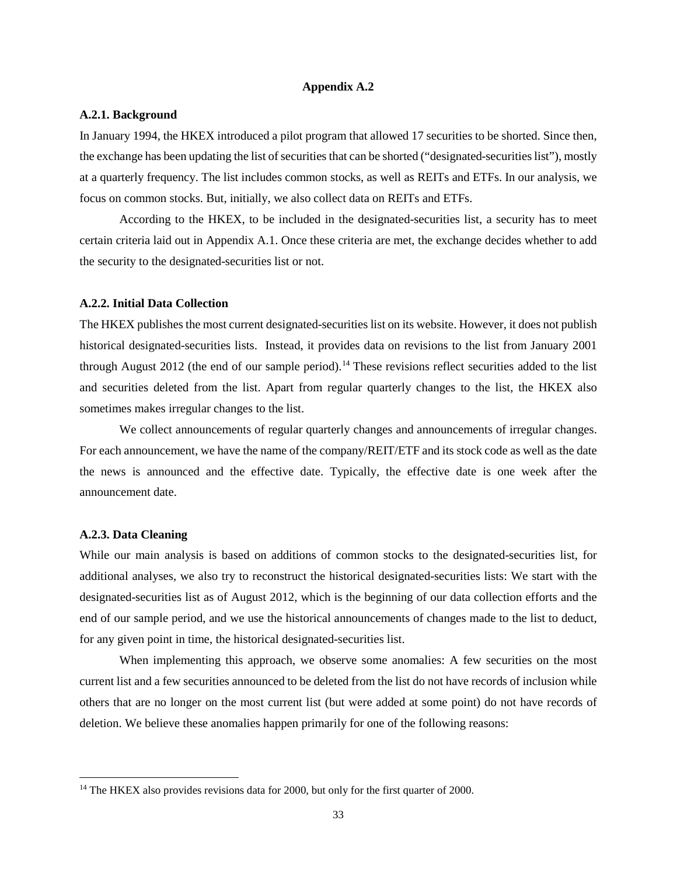## **Appendix A.2**

### **A.2.1. Background**

In January 1994, the HKEX introduced a pilot program that allowed 17 securities to be shorted. Since then, the exchange has been updating the list of securities that can be shorted ("designated-securities list"), mostly at a quarterly frequency. The list includes common stocks, as well as REITs and ETFs. In our analysis, we focus on common stocks. But, initially, we also collect data on REITs and ETFs.

According to the HKEX, to be included in the designated-securities list, a security has to meet certain criteria laid out in Appendix A.1. Once these criteria are met, the exchange decides whether to add the security to the designated-securities list or not.

## **A.2.2. Initial Data Collection**

The HKEX publishes the most current designated-securities list on its website. However, it does not publish historical designated-securities lists. Instead, it provides data on revisions to the list from January 2001 through August  $2012$  (the end of our sample period).<sup>14</sup> These revisions reflect securities added to the list and securities deleted from the list. Apart from regular quarterly changes to the list, the HKEX also sometimes makes irregular changes to the list.

We collect announcements of regular quarterly changes and announcements of irregular changes. For each announcement, we have the name of the company/REIT/ETF and its stock code as well as the date the news is announced and the effective date. Typically, the effective date is one week after the announcement date.

## **A.2.3. Data Cleaning**

l

While our main analysis is based on additions of common stocks to the designated-securities list, for additional analyses, we also try to reconstruct the historical designated-securities lists: We start with the designated-securities list as of August 2012, which is the beginning of our data collection efforts and the end of our sample period, and we use the historical announcements of changes made to the list to deduct, for any given point in time, the historical designated-securities list.

When implementing this approach, we observe some anomalies: A few securities on the most current list and a few securities announced to be deleted from the list do not have records of inclusion while others that are no longer on the most current list (but were added at some point) do not have records of deletion. We believe these anomalies happen primarily for one of the following reasons:

<sup>&</sup>lt;sup>14</sup> The HKEX also provides revisions data for 2000, but only for the first quarter of 2000.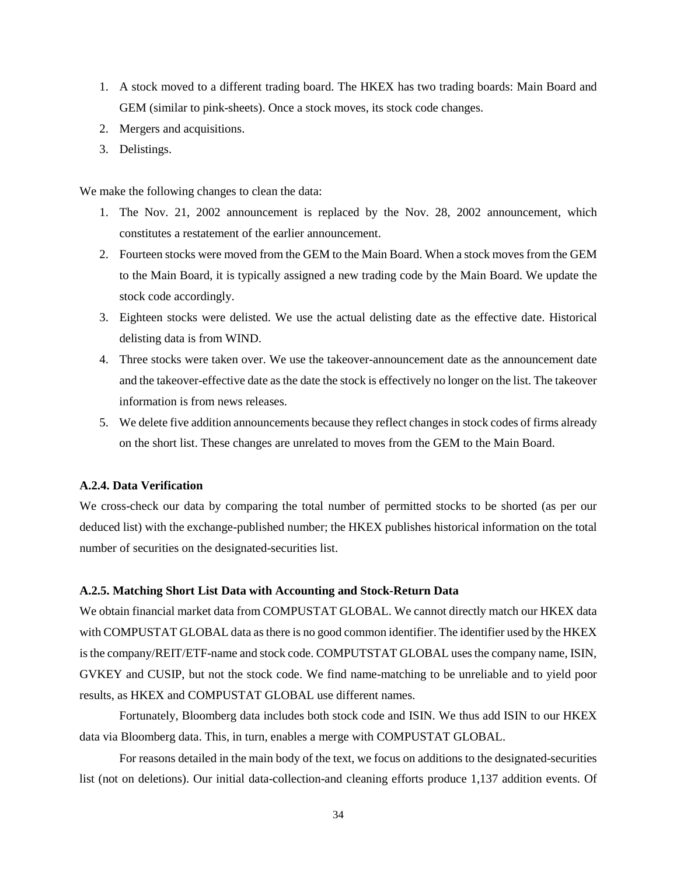- 1. A stock moved to a different trading board. The HKEX has two trading boards: Main Board and GEM (similar to pink-sheets). Once a stock moves, its stock code changes.
- 2. Mergers and acquisitions.
- 3. Delistings.

We make the following changes to clean the data:

- 1. The Nov. 21, 2002 announcement is replaced by the Nov. 28, 2002 announcement, which constitutes a restatement of the earlier announcement.
- 2. Fourteen stocks were moved from the GEM to the Main Board. When a stock moves from the GEM to the Main Board, it is typically assigned a new trading code by the Main Board. We update the stock code accordingly.
- 3. Eighteen stocks were delisted. We use the actual delisting date as the effective date. Historical delisting data is from WIND.
- 4. Three stocks were taken over. We use the takeover-announcement date as the announcement date and the takeover-effective date as the date the stock is effectively no longer on the list. The takeover information is from news releases.
- 5. We delete five addition announcements because they reflect changes in stock codes of firms already on the short list. These changes are unrelated to moves from the GEM to the Main Board.

## **A.2.4. Data Verification**

We cross-check our data by comparing the total number of permitted stocks to be shorted (as per our deduced list) with the exchange-published number; the HKEX publishes historical information on the total number of securities on the designated-securities list.

## **A.2.5. Matching Short List Data with Accounting and Stock-Return Data**

We obtain financial market data from COMPUSTAT GLOBAL. We cannot directly match our HKEX data with COMPUSTAT GLOBAL data as there is no good common identifier. The identifier used by the HKEX is the company/REIT/ETF-name and stock code. COMPUTSTAT GLOBAL uses the company name, ISIN, GVKEY and CUSIP, but not the stock code. We find name-matching to be unreliable and to yield poor results, as HKEX and COMPUSTAT GLOBAL use different names.

Fortunately, Bloomberg data includes both stock code and ISIN. We thus add ISIN to our HKEX data via Bloomberg data. This, in turn, enables a merge with COMPUSTAT GLOBAL.

For reasons detailed in the main body of the text, we focus on additions to the designated-securities list (not on deletions). Our initial data-collection-and cleaning efforts produce 1,137 addition events. Of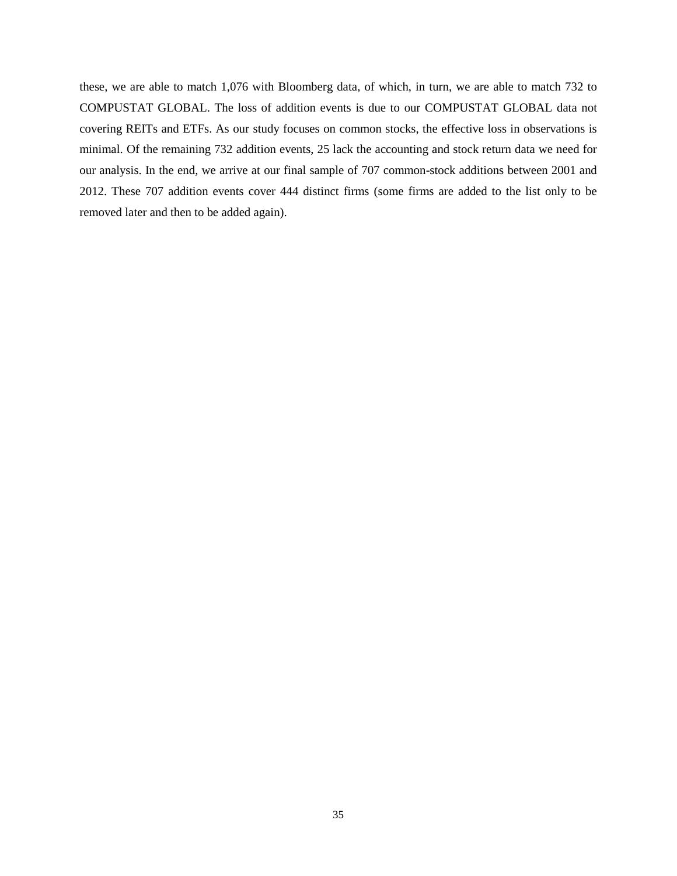these, we are able to match 1,076 with Bloomberg data, of which, in turn, we are able to match 732 to COMPUSTAT GLOBAL. The loss of addition events is due to our COMPUSTAT GLOBAL data not covering REITs and ETFs. As our study focuses on common stocks, the effective loss in observations is minimal. Of the remaining 732 addition events, 25 lack the accounting and stock return data we need for our analysis. In the end, we arrive at our final sample of 707 common-stock additions between 2001 and 2012. These 707 addition events cover 444 distinct firms (some firms are added to the list only to be removed later and then to be added again).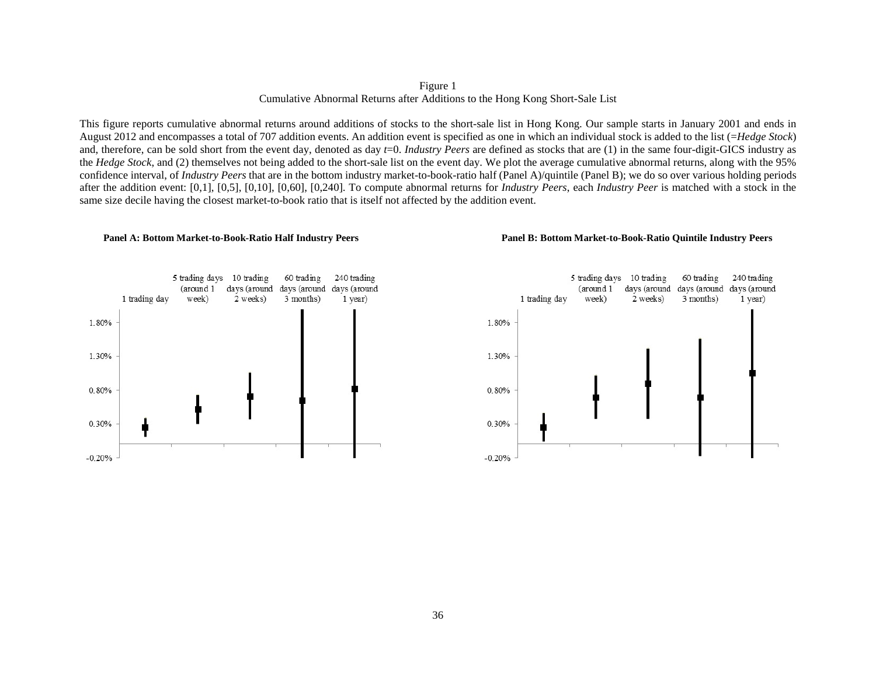Figure 1 Cumulative Abnormal Returns after Additions to the Hong Kong Short-Sale List

This figure reports cumulative abnormal returns around additions of stocks to the short-sale list in Hong Kong. Our sample starts in January 2001 and ends in August 2012 and encompasses a total of 707 addition events. An addition event is specified as one in which an individual stock is added to the list (=*Hedge Stock*) and, therefore, can be sold short from the event day, denoted as day *t*=0. *Industry Peers* are defined as stocks that are (1) in the same four-digit-GICS industry as the *Hedge Stock*, and (2) themselves not being added to the short-sale list on the event day. We plot the average cumulative abnormal returns, along with the 95% confidence interval, of *Industry Peers* that are in the bottom industry market-to-book-ratio half (Panel A)/quintile (Panel B); we do so over various holding periods after the addition event: [0,1], [0,5], [0,10], [0,60], [0,240]. To compute abnormal returns for *Industry Peers*, each *Industry Peer* is matched with a stock in the same size decile having the closest market-to-book ratio that is itself not affected by the addition event.

#### **Panel A: Bottom Market-to-Book-Ratio Half Industry Peers Panel B: Bottom Market-to-Book-Ratio Quintile Industry Peers**



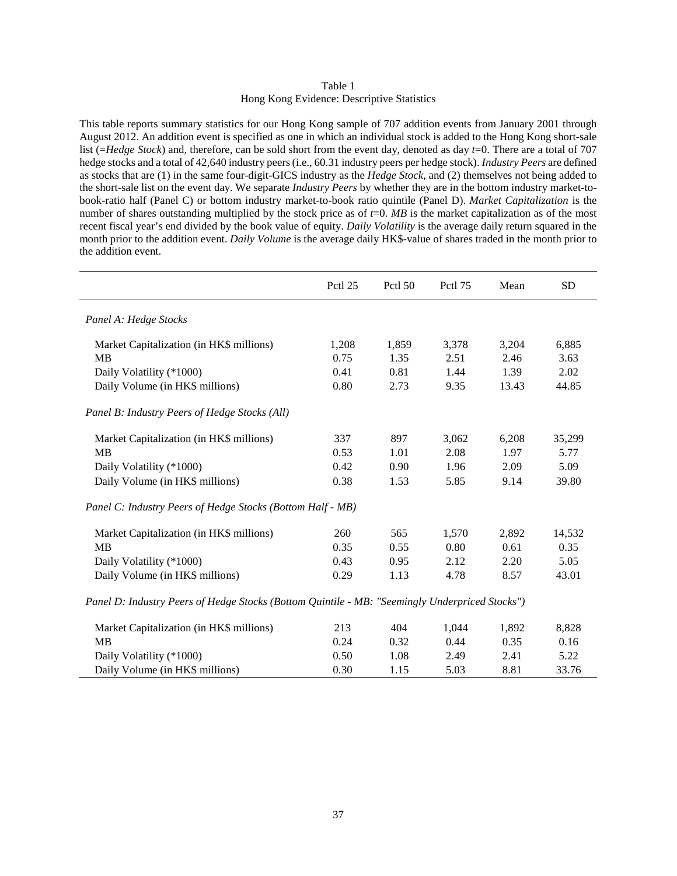## Table 1 Hong Kong Evidence: Descriptive Statistics

This table reports summary statistics for our Hong Kong sample of 707 addition events from January 2001 through August 2012. An addition event is specified as one in which an individual stock is added to the Hong Kong short-sale list (=*Hedge Stock*) and, therefore, can be sold short from the event day, denoted as day *t*=0. There are a total of 707 hedge stocks and a total of 42,640 industry peers (i.e., 60.31 industry peers per hedge stock). *Industry Peers* are defined as stocks that are (1) in the same four-digit-GICS industry as the *Hedge Stock*, and (2) themselves not being added to the short-sale list on the event day. We separate *Industry Peers* by whether they are in the bottom industry market-tobook-ratio half (Panel C) or bottom industry market-to-book ratio quintile (Panel D). *Market Capitalization* is the number of shares outstanding multiplied by the stock price as of  $t=0$ . MB is the market capitalization as of the most recent fiscal year's end divided by the book value of equity. *Daily Volatility* is the average daily return squared in the month prior to the addition event. *Daily Volume* is the average daily HK\$-value of shares traded in the month prior to the addition event.

|                                                                                                | Pctl 25 | Pctl 50 | Pctl 75 | Mean  | <b>SD</b> |
|------------------------------------------------------------------------------------------------|---------|---------|---------|-------|-----------|
| Panel A: Hedge Stocks                                                                          |         |         |         |       |           |
| Market Capitalization (in HK\$ millions)                                                       | 1,208   | 1,859   | 3,378   | 3,204 | 6,885     |
| <b>MB</b>                                                                                      | 0.75    | 1.35    | 2.51    | 2.46  | 3.63      |
| Daily Volatility (*1000)                                                                       | 0.41    | 0.81    | 1.44    | 1.39  | 2.02      |
| Daily Volume (in HK\$ millions)                                                                | 0.80    | 2.73    | 9.35    | 13.43 | 44.85     |
|                                                                                                |         |         |         |       |           |
| Panel B: Industry Peers of Hedge Stocks (All)                                                  |         |         |         |       |           |
| Market Capitalization (in HK\$ millions)                                                       | 337     | 897     | 3,062   | 6,208 | 35,299    |
| <b>MB</b>                                                                                      | 0.53    | 1.01    | 2.08    | 1.97  | 5.77      |
| Daily Volatility (*1000)                                                                       | 0.42    | 0.90    | 1.96    | 2.09  | 5.09      |
| Daily Volume (in HK\$ millions)                                                                | 0.38    | 1.53    | 5.85    | 9.14  | 39.80     |
| Panel C: Industry Peers of Hedge Stocks (Bottom Half - MB)                                     |         |         |         |       |           |
| Market Capitalization (in HK\$ millions)                                                       | 260     | 565     | 1,570   | 2,892 | 14,532    |
| MB                                                                                             | 0.35    | 0.55    | 0.80    | 0.61  | 0.35      |
| Daily Volatility (*1000)                                                                       | 0.43    | 0.95    | 2.12    | 2.20  | 5.05      |
| Daily Volume (in HK\$ millions)                                                                | 0.29    | 1.13    | 4.78    | 8.57  | 43.01     |
| Panel D: Industry Peers of Hedge Stocks (Bottom Quintile - MB: "Seemingly Underpriced Stocks") |         |         |         |       |           |
| Market Capitalization (in HK\$ millions)                                                       | 213     | 404     | 1,044   | 1,892 | 8,828     |
| MB                                                                                             | 0.24    | 0.32    | 0.44    | 0.35  | 0.16      |
| Daily Volatility (*1000)                                                                       | 0.50    | 1.08    | 2.49    | 2.41  | 5.22      |
| Daily Volume (in HK\$ millions)                                                                | 0.30    | 1.15    | 5.03    | 8.81  | 33.76     |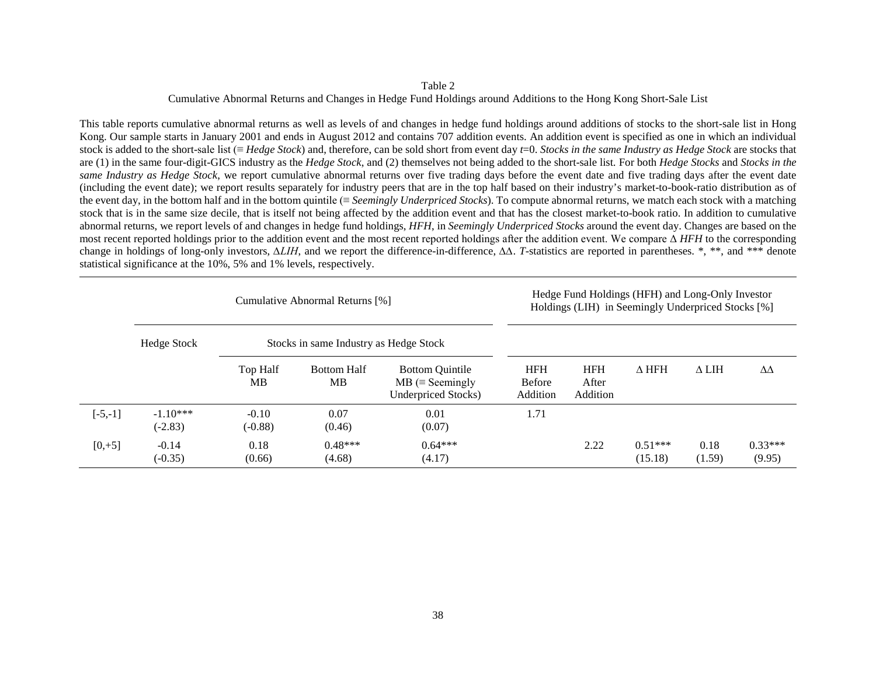#### Table 2

#### Cumulative Abnormal Returns and Changes in Hedge Fund Holdings around Additions to the Hong Kong Short-Sale List

This table reports cumulative abnormal returns as well as levels of and changes in hedge fund holdings around additions of stocks to the short-sale list in Hong Kong. Our sample starts in January 2001 and ends in August 2012 and contains 707 addition events. An addition event is specified as one in which an individual stock is added to the short-sale list (≡ *Hedge Stock*) and, therefore, can be sold short from event day *t*=0. *Stocks in the same Industry as Hedge Stock* are stocks that are (1) in the same four-digit-GICS industry as the *Hedge Stock*, and (2) themselves not being added to the short-sale list. For both *Hedge Stocks* and *Stocks in the same Industry as Hedge Stock*, we report cumulative abnormal returns over five trading days before the event date and five trading days after the event date (including the event date); we report results separately for industry peers that are in the top half based on their industry's market-to-book-ratio distribution as of the event day, in the bottom half and in the bottom quintile (≡ *Seemingly Underpriced Stocks*). To compute abnormal returns, we match each stock with a matching stock that is in the same size decile, that is itself not being affected by the addition event and that has the closest market-to-book ratio. In addition to cumulative abnormal returns, we report levels of and changes in hedge fund holdings, *HFH*, in *Seemingly Underpriced Stocks* around the event day. Changes are based on the most recent reported holdings prior to the addition event and the most recent reported holdings after the addition event. We compare Δ *HFH* to the corresponding change in holdings of long-only investors, *∆LIH*, and we report the difference-in-difference, *∆∆*. *T*-statistics are reported in parentheses. \*, \*\*, and \*\*\* denote statistical significance at the 10%, 5% and 1% levels, respectively.

|           |                         |                      | Cumulative Abnormal Returns [%]        |                                                                             |                                         | Hedge Fund Holdings (HFH) and Long-Only Investor<br>Holdings (LIH) in Seemingly Underpriced Stocks [%] |                      |                |                     |
|-----------|-------------------------|----------------------|----------------------------------------|-----------------------------------------------------------------------------|-----------------------------------------|--------------------------------------------------------------------------------------------------------|----------------------|----------------|---------------------|
|           | Hedge Stock             |                      | Stocks in same Industry as Hedge Stock |                                                                             |                                         |                                                                                                        |                      |                |                     |
|           |                         | Top Half<br>MB       | <b>Bottom Half</b><br>MВ               | <b>Bottom Quintile</b><br>$MB \in$ Seemingly<br><b>Underpriced Stocks</b> ) | <b>HFH</b><br><b>Before</b><br>Addition | <b>HFH</b><br>After<br>Addition                                                                        | $\Delta$ HFH         | $\Delta$ LIH   | $\Delta\Delta$      |
| $[-5,-1]$ | $-1.10***$<br>$(-2.83)$ | $-0.10$<br>$(-0.88)$ | 0.07<br>(0.46)                         | 0.01<br>(0.07)                                                              | 1.71                                    |                                                                                                        |                      |                |                     |
| $[0, +5]$ | $-0.14$<br>$(-0.35)$    | 0.18<br>(0.66)       | $0.48***$<br>(4.68)                    | $0.64***$<br>(4.17)                                                         |                                         | 2.22                                                                                                   | $0.51***$<br>(15.18) | 0.18<br>(1.59) | $0.33***$<br>(9.95) |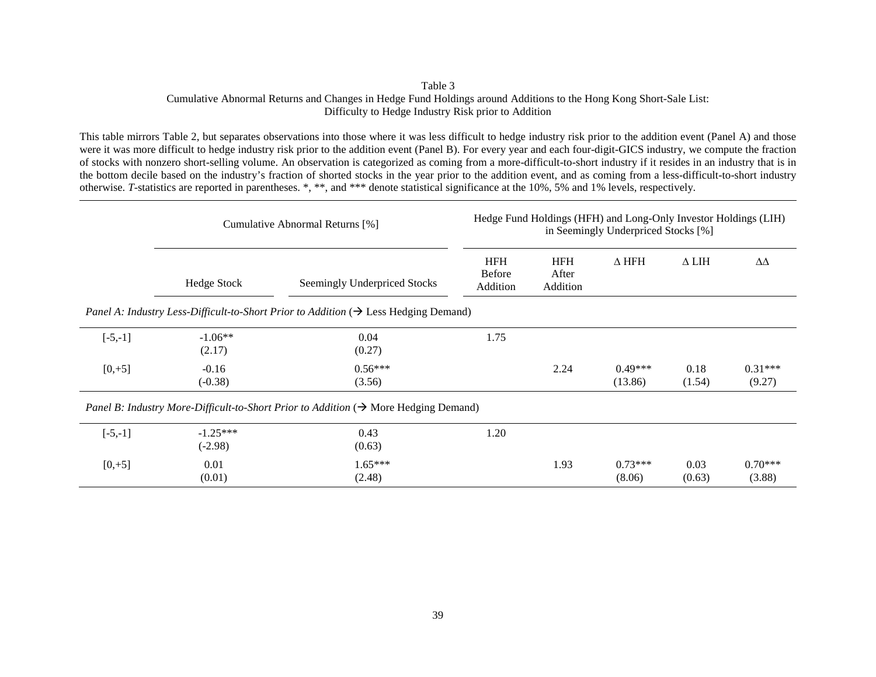## Table 3 Cumulative Abnormal Returns and Changes in Hedge Fund Holdings around Additions to the Hong Kong Short-Sale List: Difficulty to Hedge Industry Risk prior to Addition

This table mirrors Table 2, but separates observations into those where it was less difficult to hedge industry risk prior to the addition event (Panel A) and those were it was more difficult to hedge industry risk prior to the addition event (Panel B). For every year and each four-digit-GICS industry, we compute the fraction of stocks with nonzero short-selling volume. An observation is categorized as coming from a more-difficult-to-short industry if it resides in an industry that is in the bottom decile based on the industry's fraction of shorted stocks in the year prior to the addition event, and as coming from a less-difficult-to-short industry otherwise. *T*-statistics are reported in parentheses. \*, \*\*, and \*\*\* denote statistical significance at the 10%, 5% and 1% levels, respectively.

|           |                         | Cumulative Abnormal Returns [%]                                                                  |                                         |                                 | Hedge Fund Holdings (HFH) and Long-Only Investor Holdings (LIH)<br>in Seemingly Underpriced Stocks [%] |                |                     |
|-----------|-------------------------|--------------------------------------------------------------------------------------------------|-----------------------------------------|---------------------------------|--------------------------------------------------------------------------------------------------------|----------------|---------------------|
|           | <b>Hedge Stock</b>      | Seemingly Underpriced Stocks                                                                     | <b>HFH</b><br><b>Before</b><br>Addition | <b>HFH</b><br>After<br>Addition | $\Delta$ HFH                                                                                           | $\Delta$ LIH   | ΔΔ                  |
|           |                         | Panel A: Industry Less-Difficult-to-Short Prior to Addition ( $\rightarrow$ Less Hedging Demand) |                                         |                                 |                                                                                                        |                |                     |
| $[-5,-1]$ | $-1.06**$<br>(2.17)     | 0.04<br>(0.27)                                                                                   | 1.75                                    |                                 |                                                                                                        |                |                     |
| $[0, +5]$ | $-0.16$<br>$(-0.38)$    | $0.56***$<br>(3.56)                                                                              |                                         | 2.24                            | $0.49***$<br>(13.86)                                                                                   | 0.18<br>(1.54) | $0.31***$<br>(9.27) |
|           |                         | Panel B: Industry More-Difficult-to-Short Prior to Addition ( $\rightarrow$ More Hedging Demand) |                                         |                                 |                                                                                                        |                |                     |
| $[-5,-1]$ | $-1.25***$<br>$(-2.98)$ | 0.43<br>(0.63)                                                                                   | 1.20                                    |                                 |                                                                                                        |                |                     |
| $[0, +5]$ | 0.01<br>(0.01)          | $1.65***$<br>(2.48)                                                                              |                                         | 1.93                            | $0.73***$<br>(8.06)                                                                                    | 0.03<br>(0.63) | $0.70***$<br>(3.88) |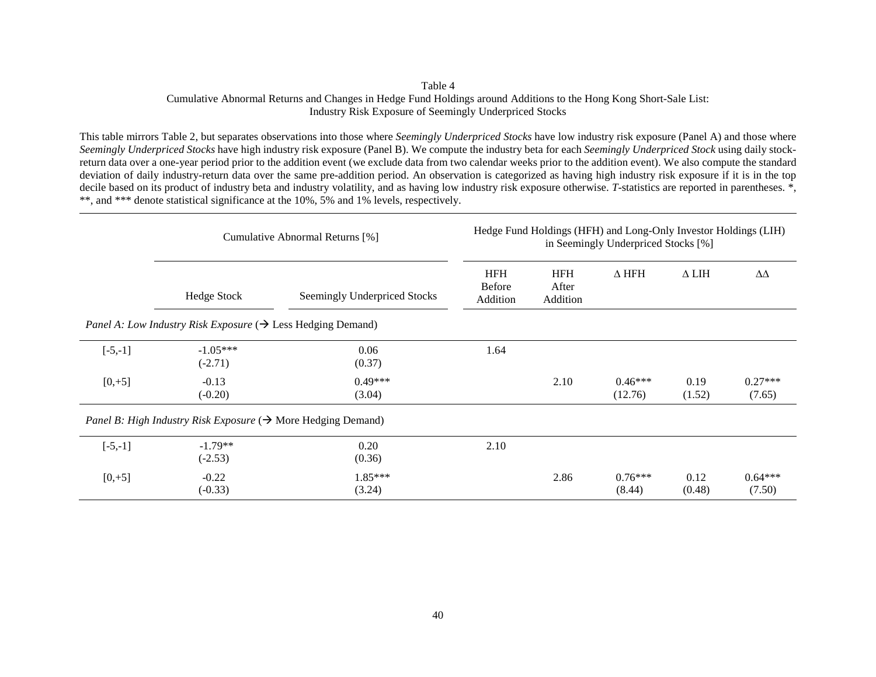## Table 4 Cumulative Abnormal Returns and Changes in Hedge Fund Holdings around Additions to the Hong Kong Short-Sale List: Industry Risk Exposure of Seemingly Underpriced Stocks

This table mirrors Table 2, but separates observations into those where *Seemingly Underpriced Stocks* have low industry risk exposure (Panel A) and those where *Seemingly Underpriced Stocks* have high industry risk exposure (Panel B). We compute the industry beta for each *Seemingly Underpriced Stock* using daily stockreturn data over a one-year period prior to the addition event (we exclude data from two calendar weeks prior to the addition event). We also compute the standard deviation of daily industry-return data over the same pre-addition period. An observation is categorized as having high industry risk exposure if it is in the top decile based on its product of industry beta and industry volatility, and as having low industry risk exposure otherwise. *T*-statistics are reported in parentheses. \*, \*\*, and \*\*\* denote statistical significance at the 10%, 5% and 1% levels, respectively.

|           |                                                                          | Cumulative Abnormal Returns [%]                                           |                                         | Hedge Fund Holdings (HFH) and Long-Only Investor Holdings (LIH) | in Seemingly Underpriced Stocks [%] |                |                     |
|-----------|--------------------------------------------------------------------------|---------------------------------------------------------------------------|-----------------------------------------|-----------------------------------------------------------------|-------------------------------------|----------------|---------------------|
|           | <b>Hedge Stock</b>                                                       | <b>Seemingly Underpriced Stocks</b>                                       | <b>HFH</b><br><b>Before</b><br>Addition | <b>HFH</b><br>After<br>Addition                                 | $\Delta$ HFH                        | $\Delta$ LIH   | $\Delta\Delta$      |
|           | Panel A: Low Industry Risk Exposure ( $\rightarrow$ Less Hedging Demand) |                                                                           |                                         |                                                                 |                                     |                |                     |
| $[-5,-1]$ | $-1.05***$<br>$(-2.71)$                                                  | 0.06<br>(0.37)                                                            | 1.64                                    |                                                                 |                                     |                |                     |
| $[0, +5]$ | $-0.13$<br>$(-0.20)$                                                     | $0.49***$<br>(3.04)                                                       |                                         | 2.10                                                            | $0.46***$<br>(12.76)                | 0.19<br>(1.52) | $0.27***$<br>(7.65) |
|           |                                                                          | Panel B: High Industry Risk Exposure ( $\rightarrow$ More Hedging Demand) |                                         |                                                                 |                                     |                |                     |
| $[-5,-1]$ | $-1.79**$<br>$(-2.53)$                                                   | 0.20<br>(0.36)                                                            | 2.10                                    |                                                                 |                                     |                |                     |
| $[0, +5]$ | $-0.22$<br>$(-0.33)$                                                     | 1.85***<br>(3.24)                                                         |                                         | 2.86                                                            | $0.76***$<br>(8.44)                 | 0.12<br>(0.48) | $0.64***$<br>(7.50) |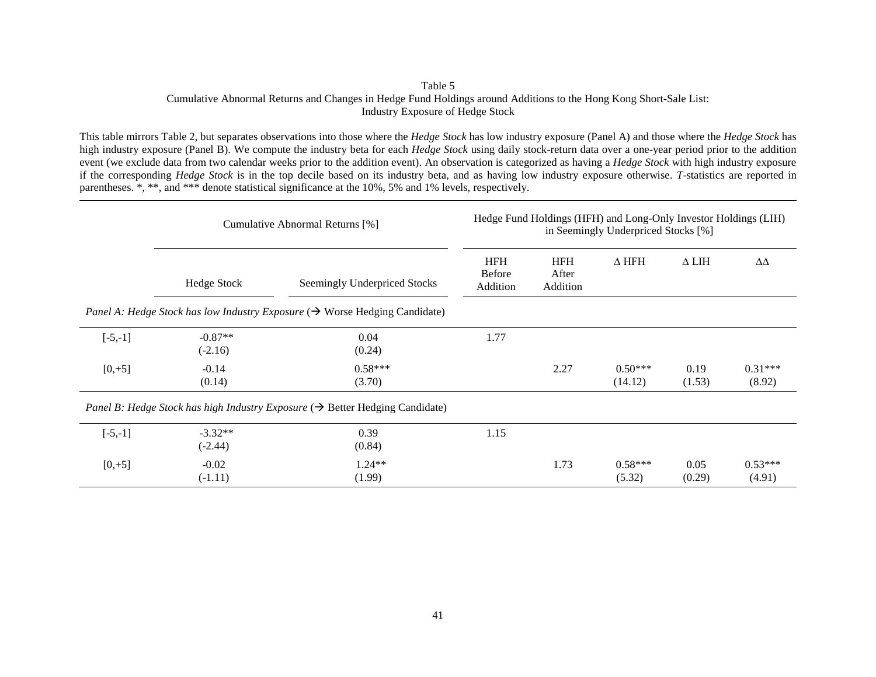## Table 5 Cumulative Abnormal Returns and Changes in Hedge Fund Holdings around Additions to the Hong Kong Short-Sale List: Industry Exposure of Hedge Stock

This table mirrors Table 2, but separates observations into those where the *Hedge Stock* has low industry exposure (Panel A) and those where the *Hedge Stock* has high industry exposure (Panel B). We compute the industry beta for each *Hedge Stock* using daily stock-return data over a one-year period prior to the addition event (we exclude data from two calendar weeks prior to the addition event). An observation is categorized as having a *Hedge Stock* with high industry exposure if the corresponding *Hedge Stock* is in the top decile based on its industry beta, and as having low industry exposure otherwise. *T*-statistics are reported in parentheses. \*, \*\*, and \*\*\* denote statistical significance at the 10%, 5% and 1% levels, respectively.

|           |                        | Cumulative Abnormal Returns [%]                                                           |                                         | Hedge Fund Holdings (HFH) and Long-Only Investor Holdings (LIH) | in Seemingly Underpriced Stocks [%] |                |                     |
|-----------|------------------------|-------------------------------------------------------------------------------------------|-----------------------------------------|-----------------------------------------------------------------|-------------------------------------|----------------|---------------------|
|           | <b>Hedge Stock</b>     | <b>Seemingly Underpriced Stocks</b>                                                       | <b>HFH</b><br><b>Before</b><br>Addition | <b>HFH</b><br>After<br>Addition                                 | $\Delta$ HFH                        | $\Delta$ LIH   | $\Delta\Delta$      |
|           |                        | Panel A: Hedge Stock has low Industry Exposure $(\rightarrow$ Worse Hedging Candidate)    |                                         |                                                                 |                                     |                |                     |
| $[-5,-1]$ | $-0.87**$<br>$(-2.16)$ | 0.04<br>(0.24)                                                                            | 1.77                                    |                                                                 |                                     |                |                     |
| $[0, +5]$ | $-0.14$<br>(0.14)      | $0.58***$<br>(3.70)                                                                       |                                         | 2.27                                                            | $0.50***$<br>(14.12)                | 0.19<br>(1.53) | $0.31***$<br>(8.92) |
|           |                        | Panel B: Hedge Stock has high Industry Exposure ( $\rightarrow$ Better Hedging Candidate) |                                         |                                                                 |                                     |                |                     |
| $[-5,-1]$ | $-3.32**$<br>$(-2.44)$ | 0.39<br>(0.84)                                                                            | 1.15                                    |                                                                 |                                     |                |                     |
| $[0, +5]$ | $-0.02$<br>$(-1.11)$   | $1.24**$<br>(1.99)                                                                        |                                         | 1.73                                                            | $0.58***$<br>(5.32)                 | 0.05<br>(0.29) | $0.53***$<br>(4.91) |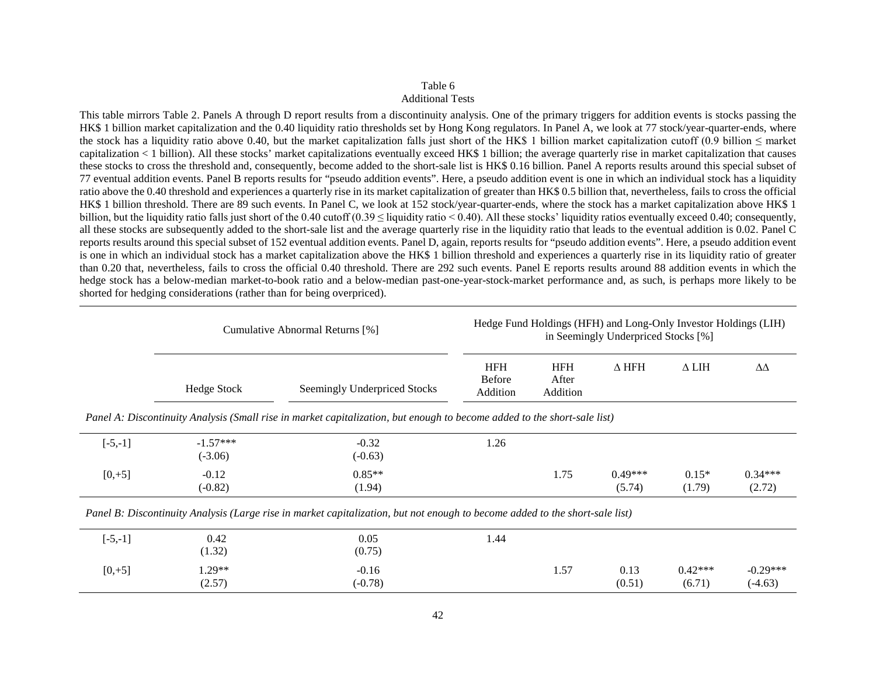#### Table 6

#### Additional Tests

This table mirrors Table 2. Panels A through D report results from a discontinuity analysis. One of the primary triggers for addition events is stocks passing the HK\$ 1 billion market capitalization and the 0.40 liquidity ratio thresholds set by Hong Kong regulators. In Panel A, we look at 77 stock/year-quarter-ends, where the stock has a liquidity ratio above 0.40, but the market capitalization falls just short of the HK\$ 1 billion market capitalization cutoff (0.9 billion  $\leq$  market capitalization < 1 billion). All these stocks' market capitalizations eventually exceed HK\$ 1 billion; the average quarterly rise in market capitalization that causes these stocks to cross the threshold and, consequently, become added to the short-sale list is HK\$ 0.16 billion. Panel A reports results around this special subset of 77 eventual addition events. Panel B reports results for "pseudo addition events". Here, a pseudo addition event is one in which an individual stock has a liquidity ratio above the 0.40 threshold and experiences a quarterly rise in its market capitalization of greater than HK\$ 0.5 billion that, nevertheless, fails to cross the official HK\$ 1 billion threshold. There are 89 such events. In Panel C, we look at 152 stock/year-quarter-ends, where the stock has a market capitalization above HK\$ 1 billion, but the liquidity ratio falls just short of the 0.40 cutoff  $(0.39 \leq$  liquidity ratio  $(0.40)$ . All these stocks' liquidity ratios eventually exceed 0.40; consequently, all these stocks are subsequently added to the short-sale list and the average quarterly rise in the liquidity ratio that leads to the eventual addition is 0.02. Panel C reports results around this special subset of 152 eventual addition events. Panel D, again, reports results for "pseudo addition events". Here, a pseudo addition event is one in which an individual stock has a market capitalization above the HK\$ 1 billion threshold and experiences a quarterly rise in its liquidity ratio of greater than 0.20 that, nevertheless, fails to cross the official 0.40 threshold. There are 292 such events. Panel E reports results around 88 addition events in which the hedge stock has a below-median market-to-book ratio and a below-median past-one-year-stock-market performance and, as such, is perhaps more likely to be shorted for hedging considerations (rather than for being overpriced).

|             | Cumulative Abnormal Returns [%]                                                                                          |                                         |                                 | in Seemingly Underpriced Stocks [%] | Hedge Fund Holdings (HFH) and Long-Only Investor Holdings (LIH) |    |
|-------------|--------------------------------------------------------------------------------------------------------------------------|-----------------------------------------|---------------------------------|-------------------------------------|-----------------------------------------------------------------|----|
| Hedge Stock | Seemingly Underpriced Stocks                                                                                             | <b>HFH</b><br><b>Before</b><br>Addition | <b>HFH</b><br>After<br>Addition | $\Lambda$ HFH                       | $\Lambda$ LIH                                                   | ΔΔ |
|             | Panel A: Discontinuity Analysis (Small rise in market capitalization, but enough to become added to the short-sale list) |                                         |                                 |                                     |                                                                 |    |

| $[-5,-1]$ | $-1.57***$ | $-0.32$   | 1.26 |      |           |         |           |
|-----------|------------|-----------|------|------|-----------|---------|-----------|
|           | $(-3.06)$  | $(-0.63)$ |      |      |           |         |           |
| $[0, +5]$ | $-0.12$    | $0.85**$  |      | 1.75 | $0.49***$ | $0.15*$ | $0.34***$ |
|           | $(-0.82)$  | (1.94)    |      |      | (5.74)    | (1.79)  | (2.72)    |

*Panel B: Discontinuity Analysis (Large rise in market capitalization, but not enough to become added to the short-sale list)*

| $[-5,-1]$ | 0.42<br>(1.32)     | 0.05<br>(0.75)       | 1.44 |      |                |                     |                         |
|-----------|--------------------|----------------------|------|------|----------------|---------------------|-------------------------|
| $[0, +5]$ | $1.29**$<br>(2.57) | $-0.16$<br>$(-0.78)$ |      | 1.57 | 0.13<br>(0.51) | $0.42***$<br>(6.71) | $-0.29***$<br>$(-4.63)$ |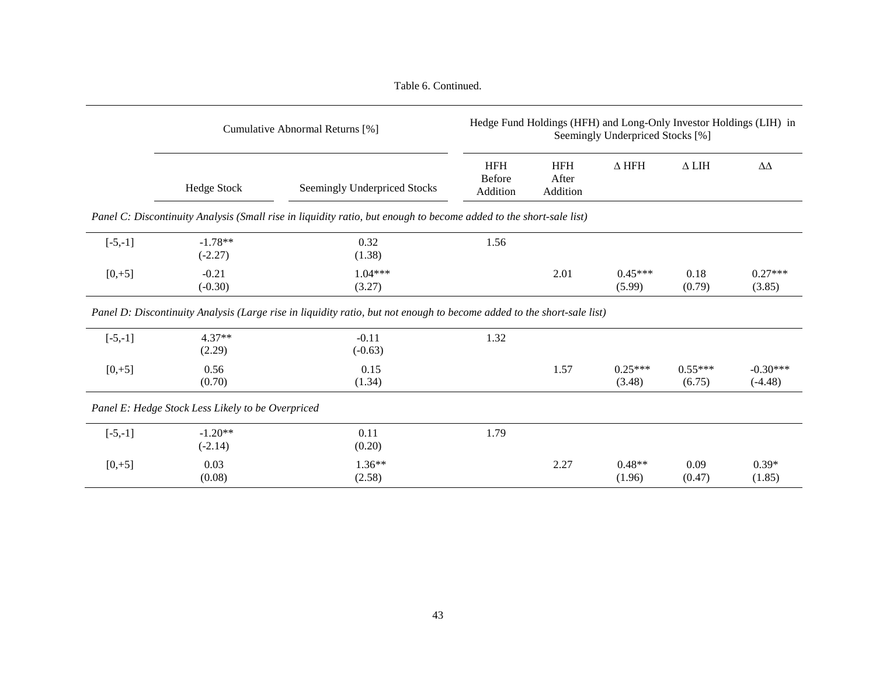|  |  |  | Table 6. Continued. |
|--|--|--|---------------------|
|--|--|--|---------------------|

| Cumulative Abnormal Returns [%] |                                                   | Hedge Fund Holdings (HFH) and Long-Only Investor Holdings (LIH) in<br>Seemingly Underpriced Stocks [%]                 |                                         |                                 |                     |                     |                         |
|---------------------------------|---------------------------------------------------|------------------------------------------------------------------------------------------------------------------------|-----------------------------------------|---------------------------------|---------------------|---------------------|-------------------------|
|                                 | <b>Hedge Stock</b>                                | Seemingly Underpriced Stocks                                                                                           | <b>HFH</b><br><b>Before</b><br>Addition | <b>HFH</b><br>After<br>Addition | $\Delta$ HFH        | $\Delta$ LIH        | $\Delta\Delta$          |
|                                 |                                                   | Panel C: Discontinuity Analysis (Small rise in liquidity ratio, but enough to become added to the short-sale list)     |                                         |                                 |                     |                     |                         |
| $[-5,-1]$                       | $-1.78**$<br>$(-2.27)$                            | 0.32<br>(1.38)                                                                                                         | 1.56                                    |                                 |                     |                     |                         |
| $[0, +5]$                       | $-0.21$<br>$(-0.30)$                              | $1.04***$<br>(3.27)                                                                                                    |                                         | 2.01                            | $0.45***$<br>(5.99) | 0.18<br>(0.79)      | $0.27***$<br>(3.85)     |
|                                 |                                                   | Panel D: Discontinuity Analysis (Large rise in liquidity ratio, but not enough to become added to the short-sale list) |                                         |                                 |                     |                     |                         |
| $[-5,-1]$                       | $4.37**$<br>(2.29)                                | $-0.11$<br>$(-0.63)$                                                                                                   | 1.32                                    |                                 |                     |                     |                         |
| $[0, +5]$                       | 0.56<br>(0.70)                                    | 0.15<br>(1.34)                                                                                                         |                                         | 1.57                            | $0.25***$<br>(3.48) | $0.55***$<br>(6.75) | $-0.30***$<br>$(-4.48)$ |
|                                 | Panel E: Hedge Stock Less Likely to be Overpriced |                                                                                                                        |                                         |                                 |                     |                     |                         |
| $[-5,-1]$                       | $-1.20**$<br>$(-2.14)$                            | 0.11<br>(0.20)                                                                                                         | 1.79                                    |                                 |                     |                     |                         |
| $[0, +5]$                       | 0.03<br>(0.08)                                    | $1.36**$<br>(2.58)                                                                                                     |                                         | 2.27                            | $0.48**$<br>(1.96)  | 0.09<br>(0.47)      | $0.39*$<br>(1.85)       |